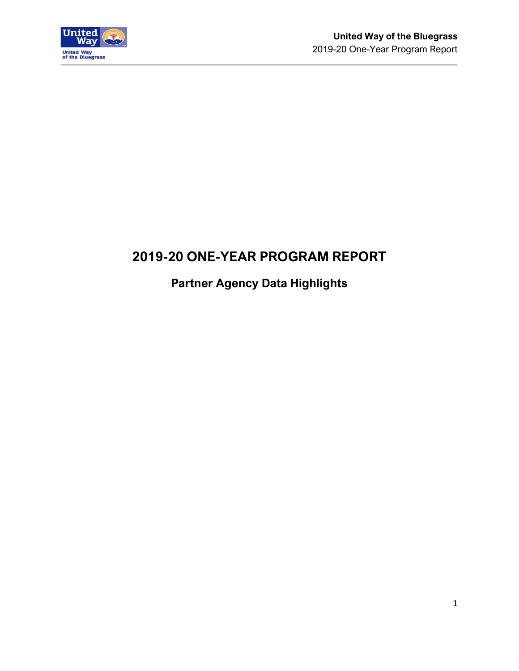

# **2019-20 ONE-YEAR PROGRAM REPORT**

# **Partner Agency Data Highlights**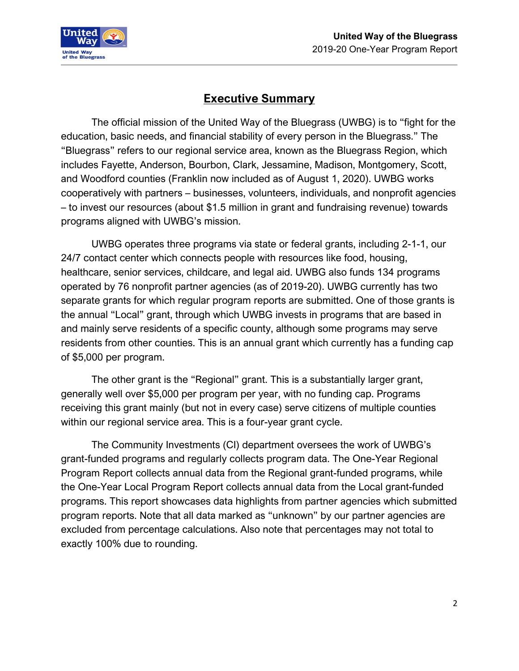



## **Executive Summary**

The official mission of the United Way of the Bluegrass (UWBG) is to "fight for the education, basic needs, and financial stability of every person in the Bluegrass." The "Bluegrass" refers to our regional service area, known as the Bluegrass Region, which includes Fayette, Anderson, Bourbon, Clark, Jessamine, Madison, Montgomery, Scott, and Woodford counties (Franklin now included as of August 1, 2020). UWBG works cooperatively with partners – businesses, volunteers, individuals, and nonprofit agencies – to invest our resources (about \$1.5 million in grant and fundraising revenue) towards programs aligned with UWBG's mission.

UWBG operates three programs via state or federal grants, including 2-1-1, our 24/7 contact center which connects people with resources like food, housing, healthcare, senior services, childcare, and legal aid. UWBG also funds 134 programs operated by 76 nonprofit partner agencies (as of 2019-20). UWBG currently has two separate grants for which regular program reports are submitted. One of those grants is the annual "Local" grant, through which UWBG invests in programs that are based in and mainly serve residents of a specific county, although some programs may serve residents from other counties. This is an annual grant which currently has a funding cap of \$5,000 per program.

The other grant is the "Regional" grant. This is a substantially larger grant, generally well over \$5,000 per program per year, with no funding cap. Programs receiving this grant mainly (but not in every case) serve citizens of multiple counties within our regional service area. This is a four-year grant cycle.

The Community Investments (CI) department oversees the work of UWBG's grant-funded programs and regularly collects program data. The One-Year Regional Program Report collects annual data from the Regional grant-funded programs, while the One-Year Local Program Report collects annual data from the Local grant-funded programs. This report showcases data highlights from partner agencies which submitted program reports. Note that all data marked as "unknown" by our partner agencies are excluded from percentage calculations. Also note that percentages may not total to exactly 100% due to rounding.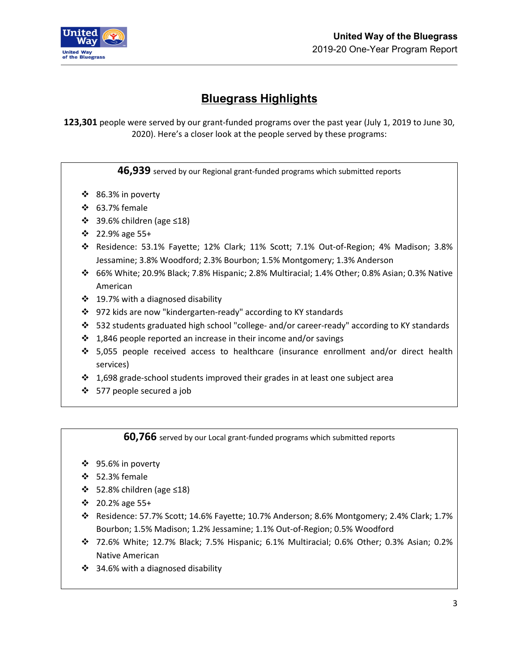

# **Bluegrass Highlights**

**123,301** people were served by our grant-funded programs over the past year (July 1, 2019 to June 30, 2020). Here's a closer look at the people served by these programs:

**46,939** served by our Regional grant-funded programs which submitted reports

- 86.3% in poverty
- $\div$  63.7% female
- 39.6% children (age ≤18)
- 22.9% age 55+
- Residence: 53.1% Fayette; 12% Clark; 11% Scott; 7.1% Out-of-Region; 4% Madison; 3.8% Jessamine; 3.8% Woodford; 2.3% Bourbon; 1.5% Montgomery; 1.3% Anderson
- 66% White; 20.9% Black; 7.8% Hispanic; 2.8% Multiracial; 1.4% Other; 0.8% Asian; 0.3% Native American
- $\div$  19.7% with a diagnosed disability
- 972 kids are now "kindergarten-ready" according to KY standards
- 532 students graduated high school "college- and/or career-ready" according to KY standards
- $\cdot$  1,846 people reported an increase in their income and/or savings
- $\div$  5,055 people received access to healthcare (insurance enrollment and/or direct health services)
- $\cdot$  1,698 grade-school students improved their grades in at least one subject area
- 577 people secured a job

**60,766** served by our Local grant-funded programs which submitted reports

- 95.6% in poverty
- 52.3% female
- $\div$  52.8% children (age ≤18)
- 20.2% age 55+
- Residence: 57.7% Scott; 14.6% Fayette; 10.7% Anderson; 8.6% Montgomery; 2.4% Clark; 1.7% Bourbon; 1.5% Madison; 1.2% Jessamine; 1.1% Out-of-Region; 0.5% Woodford
- 72.6% White; 12.7% Black; 7.5% Hispanic; 6.1% Multiracial; 0.6% Other; 0.3% Asian; 0.2% Native American
- 34.6% with a diagnosed disability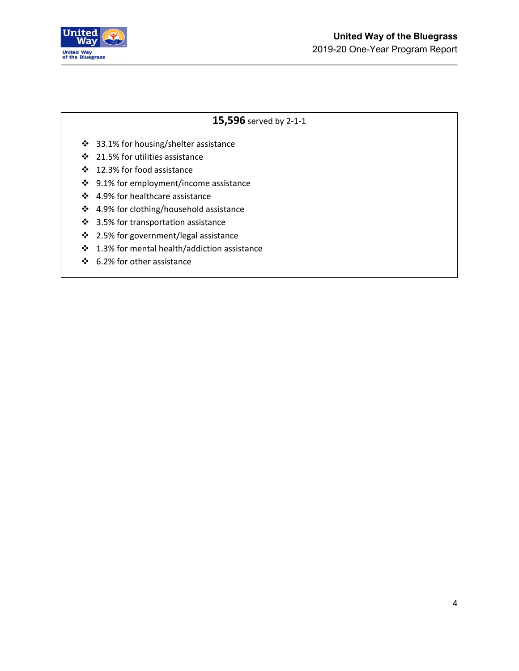

### **15,596** served by 2-1-1

- 33.1% for housing/shelter assistance
- 21.5% for utilities assistance
- 12.3% for food assistance
- 9.1% for employment/income assistance
- 4.9% for healthcare assistance
- 4.9% for clothing/household assistance
- 3.5% for transportation assistance
- 2.5% for government/legal assistance
- 1.3% for mental health/addiction assistance
- 6.2% for other assistance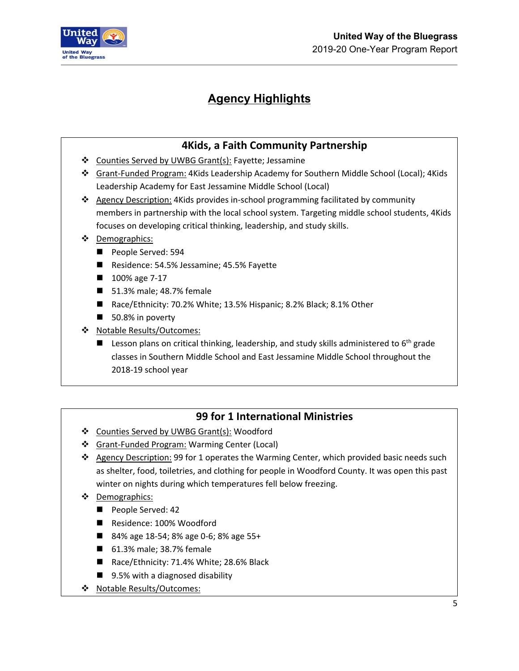

# **Agency Highlights**

## **4Kids, a Faith Community Partnership**

- Counties Served by UWBG Grant(s): Fayette; Jessamine
- Grant-Funded Program: 4Kids Leadership Academy for Southern Middle School (Local); 4Kids Leadership Academy for East Jessamine Middle School (Local)
- \* Agency Description: 4Kids provides in-school programming facilitated by community members in partnership with the local school system. Targeting middle school students, 4Kids focuses on developing critical thinking, leadership, and study skills.
- ❖ Demographics:
	- People Served: 594
	- Residence: 54.5% Jessamine; 45.5% Fayette
	- 100% age 7-17
	- 51.3% male; 48.7% female
	- Race/Ethnicity: 70.2% White; 13.5% Hispanic; 8.2% Black; 8.1% Other
	- 50.8% in poverty
- ◆ Notable Results/Outcomes:
	- **Lesson plans on critical thinking, leadership, and study skills administered to 6<sup>th</sup> grade** classes in Southern Middle School and East Jessamine Middle School throughout the 2018-19 school year

### **99 for 1 International Ministries**

- ❖ Counties Served by UWBG Grant(s): Woodford
- Grant-Funded Program: Warming Center (Local)
- $\div$  Agency Description: 99 for 1 operates the Warming Center, which provided basic needs such as shelter, food, toiletries, and clothing for people in Woodford County. It was open this past winter on nights during which temperatures fell below freezing.
- Demographics:
	- People Served: 42
	- Residence: 100% Woodford
	- 84% age 18-54; 8% age 0-6; 8% age 55+
	- 61.3% male; 38.7% female
	- Race/Ethnicity: 71.4% White; 28.6% Black
	- 9.5% with a diagnosed disability
- Notable Results/Outcomes: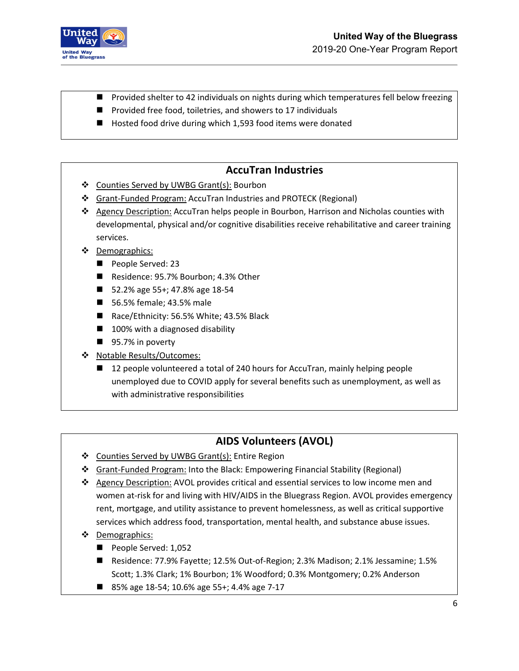

- Provided shelter to 42 individuals on nights during which temperatures fell below freezing
- Provided free food, toiletries, and showers to 17 individuals
- Hosted food drive during which 1,593 food items were donated

#### **AccuTran Industries**

- Counties Served by UWBG Grant(s): Bourbon
- Grant-Funded Program: AccuTran Industries and PROTECK (Regional)
- Agency Description: AccuTran helps people in Bourbon, Harrison and Nicholas counties with developmental, physical and/or cognitive disabilities receive rehabilitative and career training services.
- Demographics:
	- People Served: 23
	- Residence: 95.7% Bourbon; 4.3% Other
	- 52.2% age 55+; 47.8% age 18-54
	- 56.5% female; 43.5% male
	- Race/Ethnicity: 56.5% White; 43.5% Black
	- 100% with a diagnosed disability
	- 95.7% in poverty
- \* Notable Results/Outcomes:
	- 12 people volunteered a total of 240 hours for AccuTran, mainly helping people unemployed due to COVID apply for several benefits such as unemployment, as well as with administrative responsibilities

### **AIDS Volunteers (AVOL)**

- ❖ Counties Served by UWBG Grant(s): Entire Region
- **❖** Grant-Funded Program: Into the Black: Empowering Financial Stability (Regional)
- \* Agency Description: AVOL provides critical and essential services to low income men and women at-risk for and living with HIV/AIDS in the Bluegrass Region. AVOL provides emergency rent, mortgage, and utility assistance to prevent homelessness, as well as critical supportive services which address food, transportation, mental health, and substance abuse issues.
- ❖ Demographics:
	- People Served: 1,052
	- Residence: 77.9% Fayette; 12.5% Out-of-Region; 2.3% Madison; 2.1% Jessamine; 1.5% Scott; 1.3% Clark; 1% Bourbon; 1% Woodford; 0.3% Montgomery; 0.2% Anderson
	- 85% age 18-54; 10.6% age 55+; 4.4% age 7-17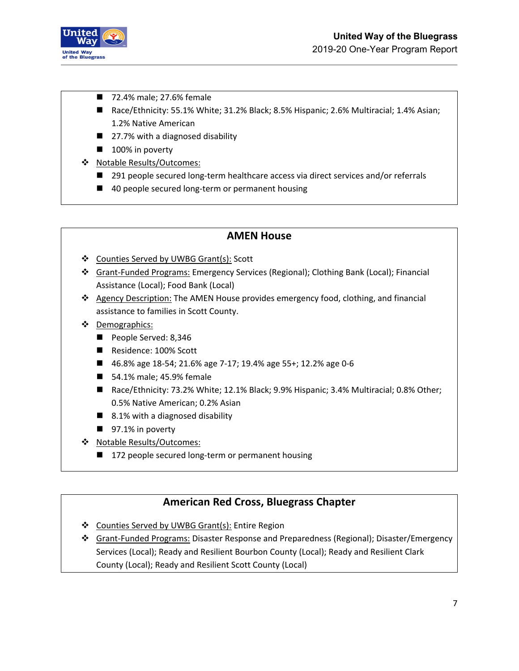

- 72.4% male; 27.6% female
- Race/Ethnicity: 55.1% White; 31.2% Black; 8.5% Hispanic; 2.6% Multiracial; 1.4% Asian; 1.2% Native American
- 27.7% with a diagnosed disability
- 100% in poverty
- Notable Results/Outcomes:
	- 291 people secured long-term healthcare access via direct services and/or referrals
	- 40 people secured long-term or permanent housing

#### **AMEN House**

- Counties Served by UWBG Grant(s): Scott
- Grant-Funded Programs: Emergency Services (Regional); Clothing Bank (Local); Financial Assistance (Local); Food Bank (Local)
- Agency Description: The AMEN House provides emergency food, clothing, and financial assistance to families in Scott County.
- ❖ Demographics:
	- People Served: 8,346
	- Residence: 100% Scott
	- 46.8% age 18-54; 21.6% age 7-17; 19.4% age 55+; 12.2% age 0-6
	- 54.1% male; 45.9% female
	- Race/Ethnicity: 73.2% White; 12.1% Black; 9.9% Hispanic; 3.4% Multiracial; 0.8% Other; 0.5% Native American; 0.2% Asian
	- 8.1% with a diagnosed disability
	- 97.1% in poverty
- ◆ Notable Results/Outcomes:
	- 172 people secured long-term or permanent housing

#### **American Red Cross, Bluegrass Chapter**

- ❖ Counties Served by UWBG Grant(s): Entire Region
- Grant-Funded Programs: Disaster Response and Preparedness (Regional); Disaster/Emergency Services (Local); Ready and Resilient Bourbon County (Local); Ready and Resilient Clark County (Local); Ready and Resilient Scott County (Local)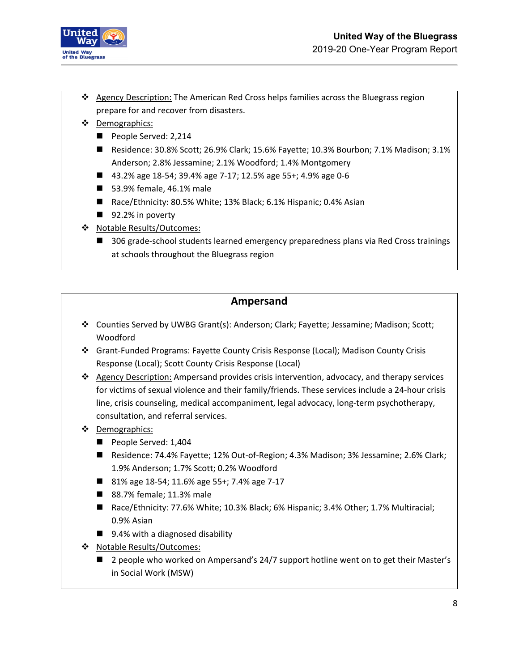

- \* Agency Description: The American Red Cross helps families across the Bluegrass region prepare for and recover from disasters.
- Demographics:
	- People Served: 2,214
	- Residence: 30.8% Scott; 26.9% Clark; 15.6% Fayette; 10.3% Bourbon; 7.1% Madison; 3.1% Anderson; 2.8% Jessamine; 2.1% Woodford; 1.4% Montgomery
	- 43.2% age 18-54; 39.4% age 7-17; 12.5% age 55+; 4.9% age 0-6
	- 53.9% female, 46.1% male
	- Race/Ethnicity: 80.5% White; 13% Black; 6.1% Hispanic; 0.4% Asian
	- 92.2% in poverty
- ◆ Notable Results/Outcomes:
	- 306 grade-school students learned emergency preparedness plans via Red Cross trainings at schools throughout the Bluegrass region

### **Ampersand**

- Counties Served by UWBG Grant(s): Anderson; Clark; Fayette; Jessamine; Madison; Scott; Woodford
- Grant-Funded Programs: Fayette County Crisis Response (Local); Madison County Crisis Response (Local); Scott County Crisis Response (Local)
- Agency Description: Ampersand provides crisis intervention, advocacy, and therapy services for victims of sexual violence and their family/friends. These services include a 24-hour crisis line, crisis counseling, medical accompaniment, legal advocacy, long-term psychotherapy, consultation, and referral services.
- Demographics:
	- People Served: 1,404
	- Residence: 74.4% Fayette; 12% Out-of-Region; 4.3% Madison; 3% Jessamine; 2.6% Clark; 1.9% Anderson; 1.7% Scott; 0.2% Woodford
	- 81% age 18-54; 11.6% age 55+; 7.4% age 7-17
	- 88.7% female; 11.3% male
	- Race/Ethnicity: 77.6% White; 10.3% Black; 6% Hispanic; 3.4% Other; 1.7% Multiracial; 0.9% Asian
	- 9.4% with a diagnosed disability
- Notable Results/Outcomes:
	- 2 people who worked on Ampersand's 24/7 support hotline went on to get their Master's in Social Work (MSW)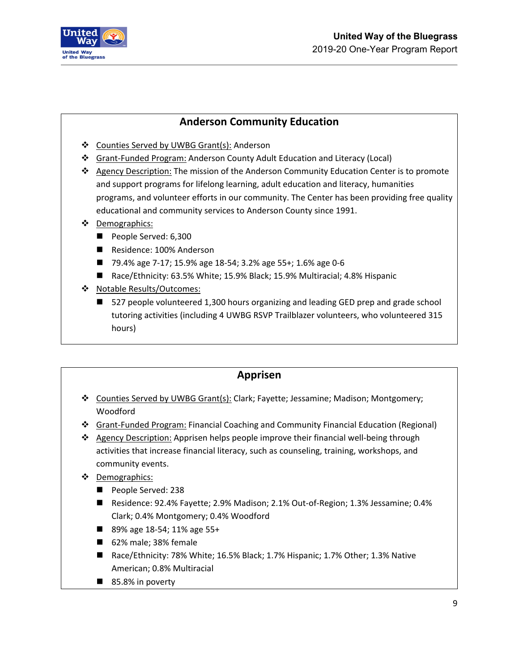

#### **Anderson Community Education**

- Counties Served by UWBG Grant(s): Anderson
- Grant-Funded Program: Anderson County Adult Education and Literacy (Local)
- Agency Description: The mission of the Anderson Community Education Center is to promote and support programs for lifelong learning, adult education and literacy, humanities programs, and volunteer efforts in our community. The Center has been providing free quality educational and community services to Anderson County since 1991.
- ❖ Demographics:
	- People Served: 6,300
	- Residence: 100% Anderson
	- 79.4% age 7-17; 15.9% age 18-54; 3.2% age 55+; 1.6% age 0-6
	- Race/Ethnicity: 63.5% White; 15.9% Black; 15.9% Multiracial; 4.8% Hispanic
- ◆ Notable Results/Outcomes:
	- 527 people volunteered 1,300 hours organizing and leading GED prep and grade school tutoring activities (including 4 UWBG RSVP Trailblazer volunteers, who volunteered 315 hours)

#### **Apprisen**

- Counties Served by UWBG Grant(s): Clark; Fayette; Jessamine; Madison; Montgomery; Woodford
- Grant-Funded Program: Financial Coaching and Community Financial Education (Regional)
- ❖ Agency Description: Apprisen helps people improve their financial well-being through activities that increase financial literacy, such as counseling, training, workshops, and community events.
- ❖ Demographics:
	- People Served: 238
	- Residence: 92.4% Fayette; 2.9% Madison; 2.1% Out-of-Region; 1.3% Jessamine; 0.4% Clark; 0.4% Montgomery; 0.4% Woodford
	- 89% age 18-54; 11% age 55+
	- 62% male; 38% female
	- Race/Ethnicity: 78% White; 16.5% Black; 1.7% Hispanic; 1.7% Other; 1.3% Native American; 0.8% Multiracial
	- 85.8% in poverty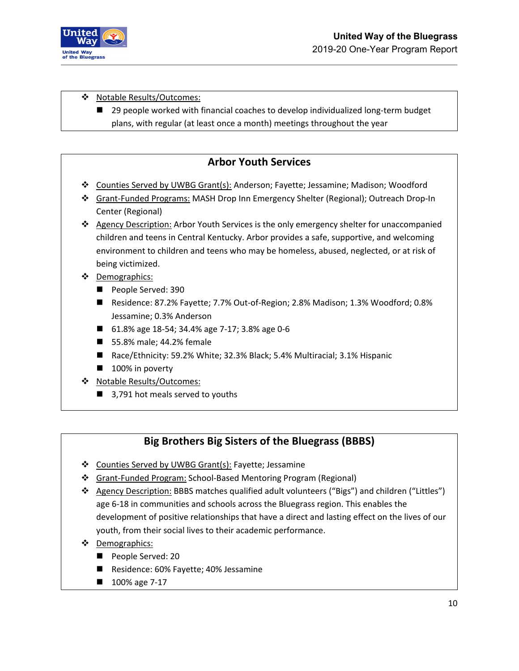

#### ❖ Notable Results/Outcomes:

■ 29 people worked with financial coaches to develop individualized long-term budget plans, with regular (at least once a month) meetings throughout the year

#### **Arbor Youth Services**

- Counties Served by UWBG Grant(s): Anderson; Fayette; Jessamine; Madison; Woodford
- Grant-Funded Programs: MASH Drop Inn Emergency Shelter (Regional); Outreach Drop-In Center (Regional)
- ❖ Agency Description: Arbor Youth Services is the only emergency shelter for unaccompanied children and teens in Central Kentucky. Arbor provides a safe, supportive, and welcoming environment to children and teens who may be homeless, abused, neglected, or at risk of being victimized.
- ❖ Demographics:
	- People Served: 390
	- Residence: 87.2% Fayette; 7.7% Out-of-Region; 2.8% Madison; 1.3% Woodford; 0.8% Jessamine; 0.3% Anderson
	- 61.8% age 18-54; 34.4% age 7-17; 3.8% age 0-6
	- 55.8% male; 44.2% female
	- Race/Ethnicity: 59.2% White; 32.3% Black; 5.4% Multiracial; 3.1% Hispanic
	- 100% in poverty
- Notable Results/Outcomes:
	- 3,791 hot meals served to youths

### **Big Brothers Big Sisters of the Bluegrass (BBBS)**

- Counties Served by UWBG Grant(s): Fayette; Jessamine
- Grant-Funded Program: School-Based Mentoring Program (Regional)
- Agency Description: BBBS matches qualified adult volunteers ("Bigs") and children ("Littles") age 6-18 in communities and schools across the Bluegrass region. This enables the development of positive relationships that have a direct and lasting effect on the lives of our youth, from their social lives to their academic performance.
- Demographics:
	- People Served: 20
	- Residence: 60% Fayette; 40% Jessamine
	- 100% age 7-17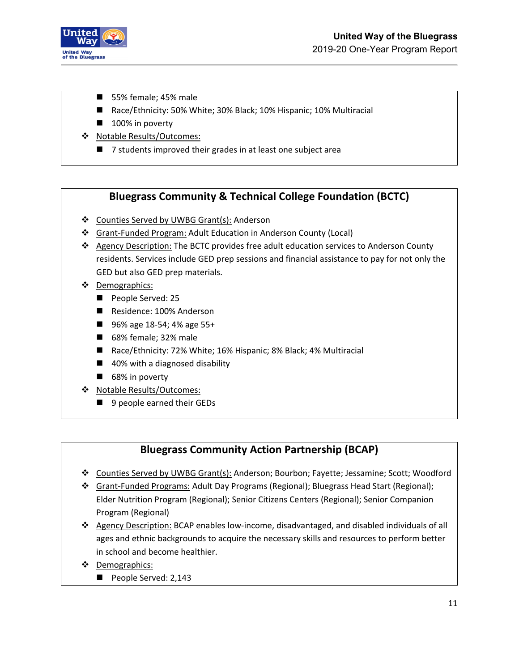

- 55% female; 45% male
- Race/Ethnicity: 50% White; 30% Black; 10% Hispanic; 10% Multiracial
- 100% in poverty
- Notable Results/Outcomes:
	- 7 students improved their grades in at least one subject area

#### **Bluegrass Community & Technical College Foundation (BCTC)**

- ❖ Counties Served by UWBG Grant(s): Anderson
- Grant-Funded Program: Adult Education in Anderson County (Local)
- ❖ Agency Description: The BCTC provides free adult education services to Anderson County residents. Services include GED prep sessions and financial assistance to pay for not only the GED but also GED prep materials.
- ❖ Demographics:
	- People Served: 25
	- Residence: 100% Anderson
	- 96% age 18-54; 4% age 55+
	- 68% female; 32% male
	- Race/Ethnicity: 72% White; 16% Hispanic; 8% Black; 4% Multiracial
	- 40% with a diagnosed disability
	- 68% in poverty
- Notable Results/Outcomes:
	- 9 people earned their GEDs

### **Bluegrass Community Action Partnership (BCAP)**

- Counties Served by UWBG Grant(s): Anderson; Bourbon; Fayette; Jessamine; Scott; Woodford
- Grant-Funded Programs: Adult Day Programs (Regional); Bluegrass Head Start (Regional); Elder Nutrition Program (Regional); Senior Citizens Centers (Regional); Senior Companion Program (Regional)
- Agency Description: BCAP enables low-income, disadvantaged, and disabled individuals of all ages and ethnic backgrounds to acquire the necessary skills and resources to perform better in school and become healthier.
- ❖ Demographics:
	- People Served: 2,143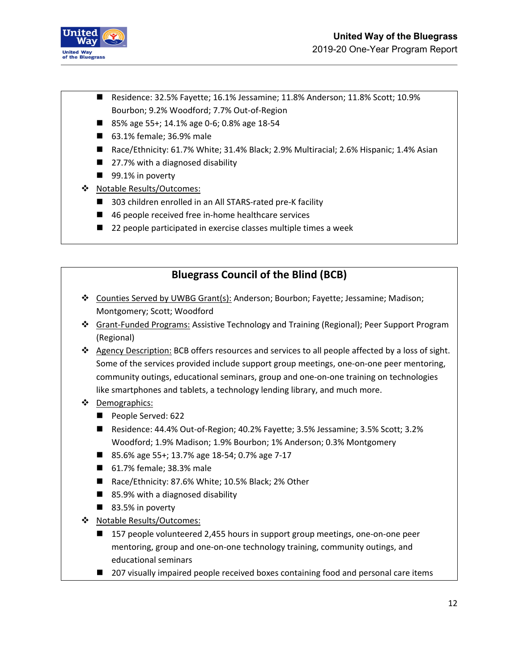

- Residence: 32.5% Fayette; 16.1% Jessamine; 11.8% Anderson; 11.8% Scott; 10.9% Bourbon; 9.2% Woodford; 7.7% Out-of-Region
- 85% age 55+; 14.1% age 0-6; 0.8% age 18-54
- 63.1% female; 36.9% male
- Race/Ethnicity: 61.7% White; 31.4% Black; 2.9% Multiracial; 2.6% Hispanic; 1.4% Asian
- 27.7% with a diagnosed disability
- 99.1% in poverty
- Notable Results/Outcomes:
	- 303 children enrolled in an All STARS-rated pre-K facility
	- 46 people received free in-home healthcare services
	- 22 people participated in exercise classes multiple times a week

### **Bluegrass Council of the Blind (BCB)**

- Counties Served by UWBG Grant(s): Anderson; Bourbon; Fayette; Jessamine; Madison; Montgomery; Scott; Woodford
- Grant-Funded Programs: Assistive Technology and Training (Regional); Peer Support Program (Regional)
- $\triangle$  Agency Description: BCB offers resources and services to all people affected by a loss of sight. Some of the services provided include support group meetings, one-on-one peer mentoring, community outings, educational seminars, group and one-on-one training on technologies like smartphones and tablets, a technology lending library, and much more.
- Demographics:
	- People Served: 622
	- Residence: 44.4% Out-of-Region; 40.2% Fayette; 3.5% Jessamine; 3.5% Scott; 3.2% Woodford; 1.9% Madison; 1.9% Bourbon; 1% Anderson; 0.3% Montgomery
	- 85.6% age 55+; 13.7% age 18-54; 0.7% age 7-17
	- 61.7% female; 38.3% male
	- Race/Ethnicity: 87.6% White; 10.5% Black; 2% Other
	- 85.9% with a diagnosed disability
	- 83.5% in poverty
- Notable Results/Outcomes:
	- 157 people volunteered 2,455 hours in support group meetings, one-on-one peer mentoring, group and one-on-one technology training, community outings, and educational seminars
	- 207 visually impaired people received boxes containing food and personal care items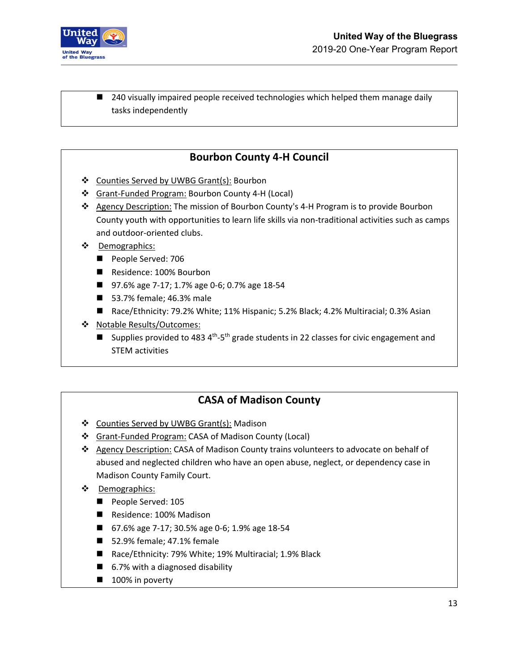

■ 240 visually impaired people received technologies which helped them manage daily tasks independently

### **Bourbon County 4-H Council**

- ❖ Counties Served by UWBG Grant(s): Bourbon
- Grant-Funded Program: Bourbon County 4-H (Local)
- Agency Description: The mission of Bourbon County's 4-H Program is to provide Bourbon County youth with opportunities to learn life skills via non-traditional activities such as camps and outdoor-oriented clubs.
- **\*** Demographics:
	- People Served: 706
	- Residence: 100% Bourbon
	- 97.6% age 7-17; 1.7% age 0-6; 0.7% age 18-54
	- 53.7% female; 46.3% male
	- Race/Ethnicity: 79.2% White; 11% Hispanic; 5.2% Black; 4.2% Multiracial; 0.3% Asian
- Notable Results/Outcomes:
	- **E** Supplies provided to 483  $4^{th} 5^{th}$  grade students in 22 classes for civic engagement and STEM activities

### **CASA of Madison County**

- ❖ Counties Served by UWBG Grant(s): Madison
- Grant-Funded Program: CASA of Madison County (Local)
- Agency Description: CASA of Madison County trains volunteers to advocate on behalf of abused and neglected children who have an open abuse, neglect, or dependency case in Madison County Family Court.
- **\*** Demographics:
	- People Served: 105
	- Residence: 100% Madison
	- 67.6% age 7-17; 30.5% age 0-6; 1.9% age 18-54
	- 52.9% female; 47.1% female
	- Race/Ethnicity: 79% White; 19% Multiracial; 1.9% Black
	- 6.7% with a diagnosed disability
	- 100% in poverty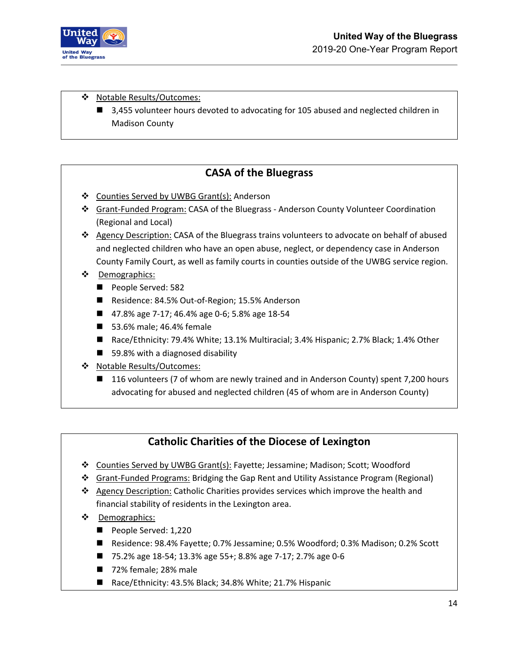

❖ Notable Results/Outcomes:

■ 3,455 volunteer hours devoted to advocating for 105 abused and neglected children in Madison County

### **CASA of the Bluegrass**

- Counties Served by UWBG Grant(s): Anderson
- Grant-Funded Program: CASA of the Bluegrass Anderson County Volunteer Coordination (Regional and Local)
- ❖ Agency Description: CASA of the Bluegrass trains volunteers to advocate on behalf of abused and neglected children who have an open abuse, neglect, or dependency case in Anderson County Family Court, as well as family courts in counties outside of the UWBG service region.
- **\*** Demographics:
	- People Served: 582
	- Residence: 84.5% Out-of-Region; 15.5% Anderson
	- 47.8% age 7-17; 46.4% age 0-6; 5.8% age 18-54
	- 53.6% male; 46.4% female
	- Race/Ethnicity: 79.4% White; 13.1% Multiracial; 3.4% Hispanic; 2.7% Black; 1.4% Other
	- 59.8% with a diagnosed disability
- ❖ Notable Results/Outcomes:
	- 116 volunteers (7 of whom are newly trained and in Anderson County) spent 7,200 hours advocating for abused and neglected children (45 of whom are in Anderson County)

### **Catholic Charities of the Diocese of Lexington**

- Counties Served by UWBG Grant(s): Fayette; Jessamine; Madison; Scott; Woodford
- Grant-Funded Programs: Bridging the Gap Rent and Utility Assistance Program (Regional)
- $\triangle$  Agency Description: Catholic Charities provides services which improve the health and financial stability of residents in the Lexington area.
- **\*** Demographics:
	- People Served: 1,220
	- Residence: 98.4% Fayette; 0.7% Jessamine; 0.5% Woodford; 0.3% Madison; 0.2% Scott
	- 75.2% age 18-54; 13.3% age 55+; 8.8% age 7-17; 2.7% age 0-6
	- 72% female; 28% male
	- Race/Ethnicity: 43.5% Black; 34.8% White; 21.7% Hispanic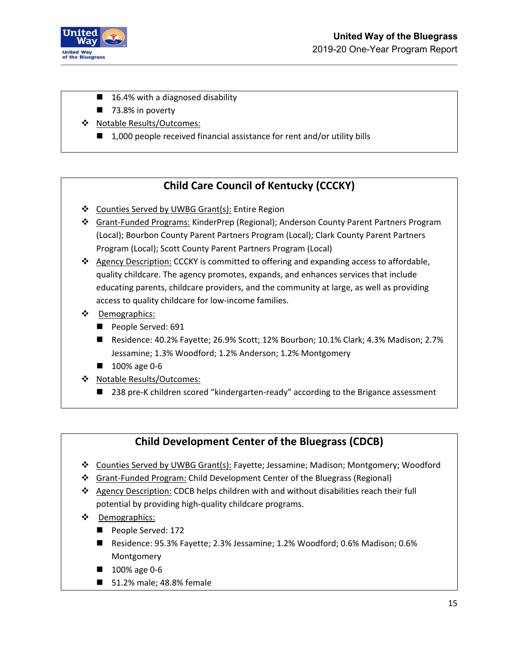

- 16.4% with a diagnosed disability
- $\blacksquare$  73.8% in poverty
- ❖ Notable Results/Outcomes:
	- $\blacksquare$  1,000 people received financial assistance for rent and/or utility bills

## **Child Care Council of Kentucky (CCCKY)**

- ❖ Counties Served by UWBG Grant(s): Entire Region
- Grant-Funded Programs: KinderPrep (Regional); Anderson County Parent Partners Program (Local); Bourbon County Parent Partners Program (Local); Clark County Parent Partners Program (Local); Scott County Parent Partners Program (Local)
- $\triangle$  Agency Description: CCCKY is committed to offering and expanding access to affordable, quality childcare. The agency promotes, expands, and enhances services that include educating parents, childcare providers, and the community at large, as well as providing access to quality childcare for low-income families.
- ❖ Demographics:
	- People Served: 691
	- Residence: 40.2% Fayette; 26.9% Scott; 12% Bourbon; 10.1% Clark; 4.3% Madison; 2.7% Jessamine; 1.3% Woodford; 1.2% Anderson; 1.2% Montgomery
	- **100%** age 0-6
- Notable Results/Outcomes:
	- 238 pre-K children scored "kindergarten-ready" according to the Brigance assessment

### **Child Development Center of the Bluegrass (CDCB)**

- Counties Served by UWBG Grant(s): Fayette; Jessamine; Madison; Montgomery; Woodford
- Grant-Funded Program: Child Development Center of the Bluegrass (Regional)
- Agency Description: CDCB helps children with and without disabilities reach their full potential by providing high-quality childcare programs.
- **\*** Demographics:
	- People Served: 172
	- Residence: 95.3% Fayette; 2.3% Jessamine; 1.2% Woodford; 0.6% Madison; 0.6% Montgomery
	- **100% age 0-6**
	- 51.2% male; 48.8% female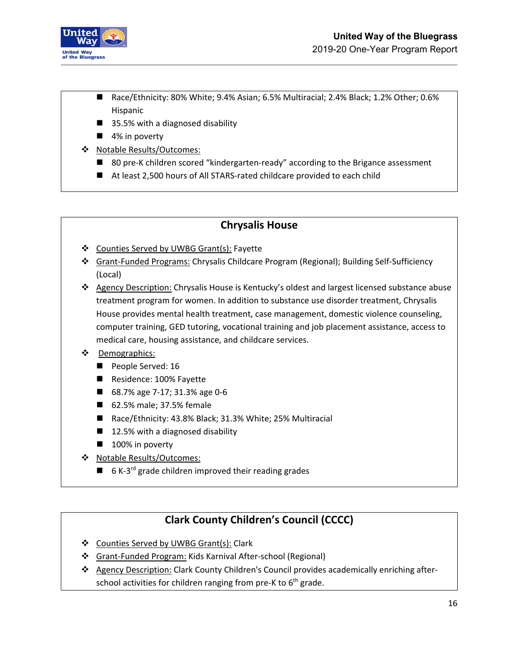

- Race/Ethnicity: 80% White; 9.4% Asian; 6.5% Multiracial; 2.4% Black; 1.2% Other; 0.6% Hispanic
- 35.5% with a diagnosed disability
- 4% in poverty
- Notable Results/Outcomes:
	- 80 pre-K children scored "kindergarten-ready" according to the Brigance assessment
	- At least 2,500 hours of All STARS-rated childcare provided to each child

## **Chrysalis House**

- Counties Served by UWBG Grant(s): Fayette
- Grant-Funded Programs: Chrysalis Childcare Program (Regional); Building Self-Sufficiency (Local)
- Agency Description: Chrysalis House is Kentucky's oldest and largest licensed substance abuse treatment program for women. In addition to substance use disorder treatment, Chrysalis House provides mental health treatment, case management, domestic violence counseling, computer training, GED tutoring, vocational training and job placement assistance, access to medical care, housing assistance, and childcare services.

#### ❖ Demographics:

- People Served: 16
- Residence: 100% Fayette
- 68.7% age 7-17; 31.3% age 0-6
- 62.5% male; 37.5% female
- Race/Ethnicity: 43.8% Black; 31.3% White; 25% Multiracial
- $\blacksquare$  12.5% with a diagnosed disability
- $\blacksquare$  100% in poverty
- Notable Results/Outcomes:
	- $\blacksquare$  6 K-3<sup>rd</sup> grade children improved their reading grades

## **Clark County Children's Council (CCCC)**

- ❖ Counties Served by UWBG Grant(s): Clark
- **Grant-Funded Program: Kids Karnival After-school (Regional)**
- \* Agency Description: Clark County Children's Council provides academically enriching afterschool activities for children ranging from pre-K to  $6<sup>th</sup>$  grade.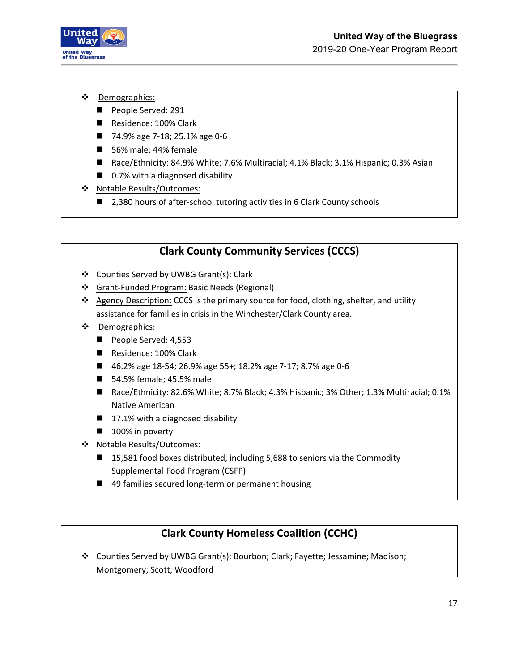

- **\*** Demographics:
	- People Served: 291
	- Residence: 100% Clark
	- 74.9% age 7-18; 25.1% age 0-6
	- 56% male; 44% female
	- Race/Ethnicity: 84.9% White; 7.6% Multiracial; 4.1% Black; 3.1% Hispanic; 0.3% Asian
	- 0.7% with a diagnosed disability
- ❖ Notable Results/Outcomes:
	- 2,380 hours of after-school tutoring activities in 6 Clark County schools

## **Clark County Community Services (CCCS)** Counties Served by UWBG Grant(s): Clark Grant-Funded Program: Basic Needs (Regional) ❖ Agency Description: CCCS is the primary source for food, clothing, shelter, and utility assistance for families in crisis in the Winchester/Clark County area. Demographics: People Served: 4,553 Residence: 100% Clark ■ 46.2% age 18-54; 26.9% age 55+; 18.2% age 7-17; 8.7% age 0-6 ■ 54.5% female; 45.5% male ■ Race/Ethnicity: 82.6% White; 8.7% Black; 4.3% Hispanic; 3% Other; 1.3% Multiracial; 0.1% Native American  $\blacksquare$  17.1% with a diagnosed disability **100% in poverty** ❖ Notable Results/Outcomes: ■ 15,581 food boxes distributed, including 5,688 to seniors via the Commodity Supplemental Food Program (CSFP)

■ 49 families secured long-term or permanent housing

## **Clark County Homeless Coalition (CCHC)**

 Counties Served by UWBG Grant(s): Bourbon; Clark; Fayette; Jessamine; Madison; Montgomery; Scott; Woodford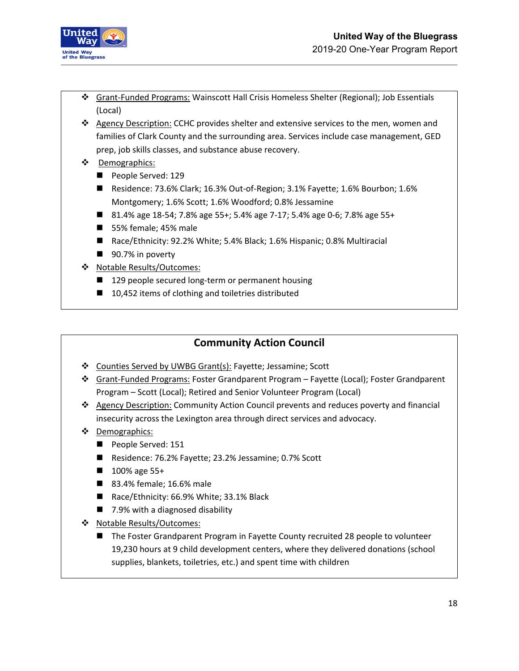

- Grant-Funded Programs: Wainscott Hall Crisis Homeless Shelter (Regional); Job Essentials (Local)
- ❖ Agency Description: CCHC provides shelter and extensive services to the men, women and families of Clark County and the surrounding area. Services include case management, GED prep, job skills classes, and substance abuse recovery.
- Demographics:
	- People Served: 129
	- Residence: 73.6% Clark; 16.3% Out-of-Region; 3.1% Fayette; 1.6% Bourbon; 1.6% Montgomery; 1.6% Scott; 1.6% Woodford; 0.8% Jessamine
	- 81.4% age 18-54; 7.8% age 55+; 5.4% age 7-17; 5.4% age 0-6; 7.8% age 55+
	- 55% female; 45% male
	- Race/Ethnicity: 92.2% White; 5.4% Black; 1.6% Hispanic; 0.8% Multiracial
	- 90.7% in poverty
- Notable Results/Outcomes:
	- 129 people secured long-term or permanent housing
	- 10,452 items of clothing and toiletries distributed

### **Community Action Council**

- Counties Served by UWBG Grant(s): Fayette; Jessamine; Scott
- Grant-Funded Programs: Foster Grandparent Program Fayette (Local); Foster Grandparent Program – Scott (Local); Retired and Senior Volunteer Program (Local)
- ❖ Agency Description: Community Action Council prevents and reduces poverty and financial insecurity across the Lexington area through direct services and advocacy.
- ❖ Demographics:
	- People Served: 151
	- Residence: 76.2% Fayette; 23.2% Jessamine; 0.7% Scott
	- 100% age 55+
	- 83.4% female; 16.6% male
	- Race/Ethnicity: 66.9% White; 33.1% Black
	- 7.9% with a diagnosed disability
- \* Notable Results/Outcomes:
	- The Foster Grandparent Program in Fayette County recruited 28 people to volunteer 19,230 hours at 9 child development centers, where they delivered donations (school supplies, blankets, toiletries, etc.) and spent time with children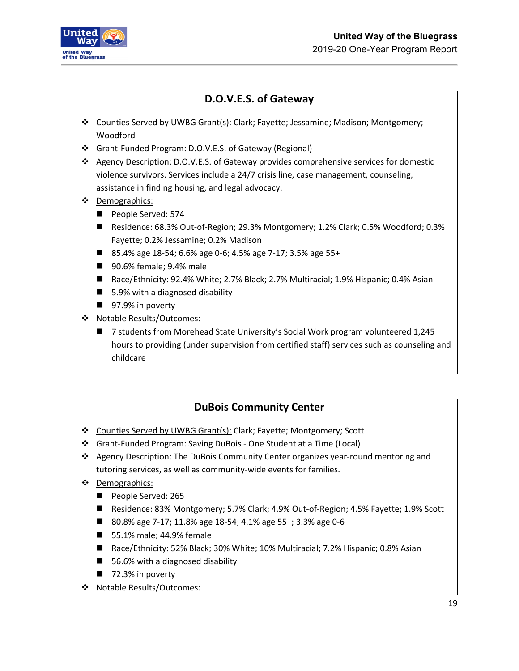

## **D.O.V.E.S. of Gateway**

- Counties Served by UWBG Grant(s): Clark; Fayette; Jessamine; Madison; Montgomery; Woodford
- Grant-Funded Program: D.O.V.E.S. of Gateway (Regional)
- Agency Description: D.O.V.E.S. of Gateway provides comprehensive services for domestic violence survivors. Services include a 24/7 crisis line, case management, counseling, assistance in finding housing, and legal advocacy.
- Demographics:
	- People Served: 574
	- Residence: 68.3% Out-of-Region; 29.3% Montgomery; 1.2% Clark; 0.5% Woodford; 0.3% Fayette; 0.2% Jessamine; 0.2% Madison
	- 85.4% age 18-54; 6.6% age 0-6; 4.5% age 7-17; 3.5% age 55+
	- 90.6% female; 9.4% male
	- Race/Ethnicity: 92.4% White; 2.7% Black; 2.7% Multiracial; 1.9% Hispanic; 0.4% Asian
	- 5.9% with a diagnosed disability
	- 97.9% in poverty
- Notable Results/Outcomes:
	- 7 students from Morehead State University's Social Work program volunteered 1,245 hours to providing (under supervision from certified staff) services such as counseling and childcare

## **DuBois Community Center**

- Counties Served by UWBG Grant(s): Clark; Fayette; Montgomery; Scott
- Grant-Funded Program: Saving DuBois One Student at a Time (Local)
- \* Agency Description: The DuBois Community Center organizes year-round mentoring and tutoring services, as well as community-wide events for families.
- ❖ Demographics:
	- People Served: 265
	- Residence: 83% Montgomery; 5.7% Clark; 4.9% Out-of-Region; 4.5% Fayette; 1.9% Scott
	- 80.8% age 7-17; 11.8% age 18-54; 4.1% age 55+; 3.3% age 0-6
	- 55.1% male; 44.9% female
	- Race/Ethnicity: 52% Black; 30% White; 10% Multiracial; 7.2% Hispanic; 0.8% Asian
	- 56.6% with a diagnosed disability
	- $\blacksquare$  72.3% in poverty
- Notable Results/Outcomes: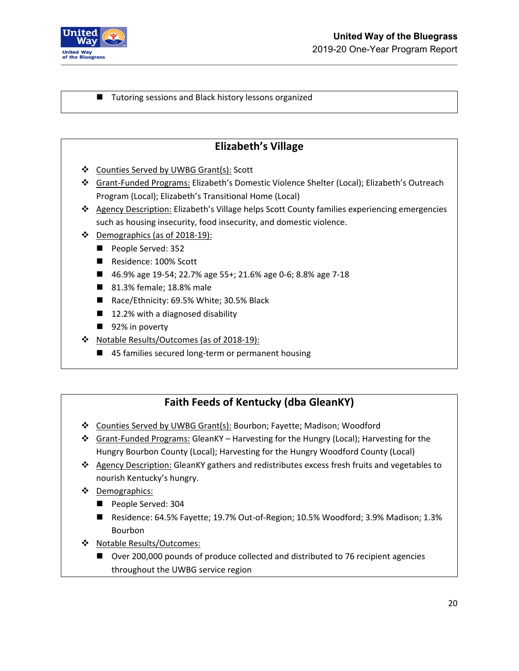

#### ■ Tutoring sessions and Black history lessons organized

### **Elizabeth's Village**

- ❖ Counties Served by UWBG Grant(s): Scott
- Grant-Funded Programs: Elizabeth's Domestic Violence Shelter (Local); Elizabeth's Outreach Program (Local); Elizabeth's Transitional Home (Local)
- \* Agency Description: Elizabeth's Village helps Scott County families experiencing emergencies such as housing insecurity, food insecurity, and domestic violence.
- Demographics (as of 2018-19):
	- People Served: 352
	- Residence: 100% Scott
	- 46.9% age 19-54; 22.7% age 55+; 21.6% age 0-6; 8.8% age 7-18
	- 81.3% female; 18.8% male
	- Race/Ethnicity: 69.5% White; 30.5% Black
	- 12.2% with a diagnosed disability
	- 92% in poverty
- \* Notable Results/Outcomes (as of 2018-19):
	- 45 families secured long-term or permanent housing

## **Faith Feeds of Kentucky (dba GleanKY)**

- Counties Served by UWBG Grant(s): Bourbon; Fayette; Madison; Woodford
- Grant-Funded Programs: GleanKY Harvesting for the Hungry (Local); Harvesting for the Hungry Bourbon County (Local); Harvesting for the Hungry Woodford County (Local)
- $\div$  Agency Description: GleanKY gathers and redistributes excess fresh fruits and vegetables to nourish Kentucky's hungry.
- Demographics:
	- People Served: 304
	- Residence: 64.5% Fayette; 19.7% Out-of-Region; 10.5% Woodford; 3.9% Madison; 1.3% Bourbon
- ❖ Notable Results/Outcomes:
	- Over 200,000 pounds of produce collected and distributed to 76 recipient agencies throughout the UWBG service region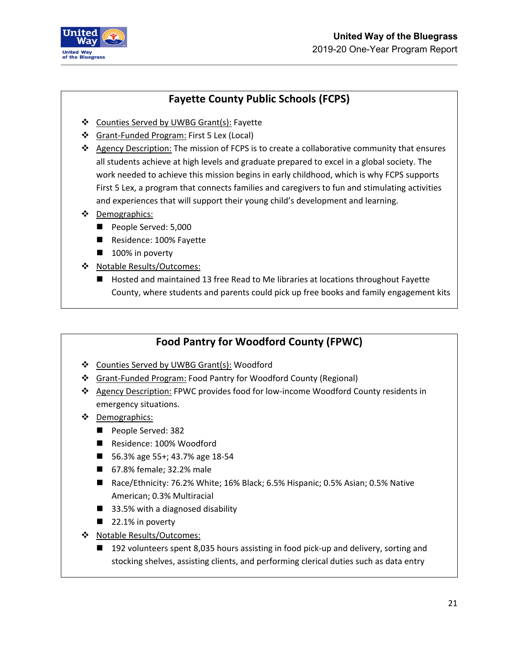

## **Fayette County Public Schools (FCPS)**

- Counties Served by UWBG Grant(s): Fayette
- Grant-Funded Program: First 5 Lex (Local)
- \* Agency Description: The mission of FCPS is to create a collaborative community that ensures all students achieve at high levels and graduate prepared to excel in a global society. The work needed to achieve this mission begins in early childhood, which is why FCPS supports First 5 Lex, a program that connects families and caregivers to fun and stimulating activities and experiences that will support their young child's development and learning.
- Demographics:
	- People Served: 5,000
	- Residence: 100% Fayette
	- 100% in poverty
- Notable Results/Outcomes:
	- Hosted and maintained 13 free Read to Me libraries at locations throughout Fayette County, where students and parents could pick up free books and family engagement kits

## **Food Pantry for Woodford County (FPWC)**

- Counties Served by UWBG Grant(s): Woodford
- Grant-Funded Program: Food Pantry for Woodford County (Regional)
- Agency Description: FPWC provides food for low-income Woodford County residents in emergency situations.
- ❖ Demographics:
	- People Served: 382
	- Residence: 100% Woodford
	- 56.3% age 55+; 43.7% age 18-54
	- 67.8% female; 32.2% male
	- Race/Ethnicity: 76.2% White; 16% Black; 6.5% Hispanic; 0.5% Asian; 0.5% Native American; 0.3% Multiracial
	- 33.5% with a diagnosed disability
	- $\blacksquare$  22.1% in poverty
- ❖ Notable Results/Outcomes:
	- 192 volunteers spent 8,035 hours assisting in food pick-up and delivery, sorting and stocking shelves, assisting clients, and performing clerical duties such as data entry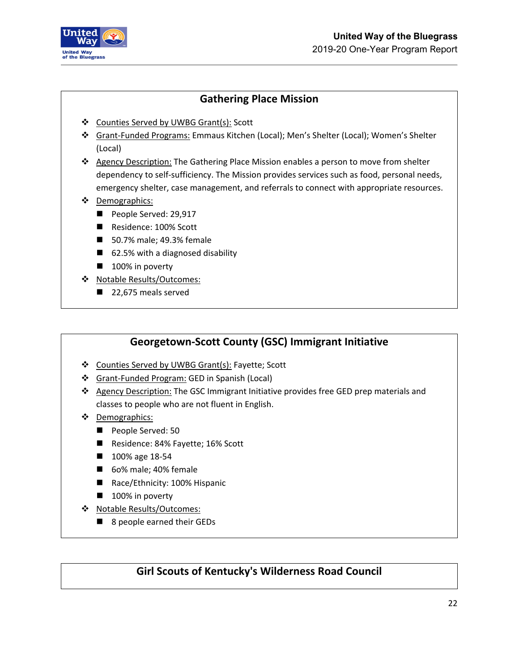

## **Gathering Place Mission**

- Counties Served by UWBG Grant(s): Scott
- Grant-Funded Programs: Emmaus Kitchen (Local); Men's Shelter (Local); Women's Shelter (Local)
- Agency Description: The Gathering Place Mission enables a person to move from shelter dependency to self-sufficiency. The Mission provides services such as food, personal needs, emergency shelter, case management, and referrals to connect with appropriate resources.
- Demographics:
	- People Served: 29,917
	- Residence: 100% Scott
	- 50.7% male; 49.3% female
	- 62.5% with a diagnosed disability
	- $\blacksquare$  100% in poverty
- Notable Results/Outcomes:
	- 22,675 meals served

#### **Georgetown-Scott County (GSC) Immigrant Initiative**

- Counties Served by UWBG Grant(s): Fayette; Scott
- Grant-Funded Program: GED in Spanish (Local)
- Agency Description: The GSC Immigrant Initiative provides free GED prep materials and classes to people who are not fluent in English.
- ❖ Demographics:
	- People Served: 50
	- Residence: 84% Fayette; 16% Scott
	- 100% age 18-54
	- 6o% male; 40% female
	- Race/Ethnicity: 100% Hispanic
	- 100% in poverty
- Notable Results/Outcomes:
	- 8 people earned their GEDs

#### **Girl Scouts of Kentucky's Wilderness Road Council**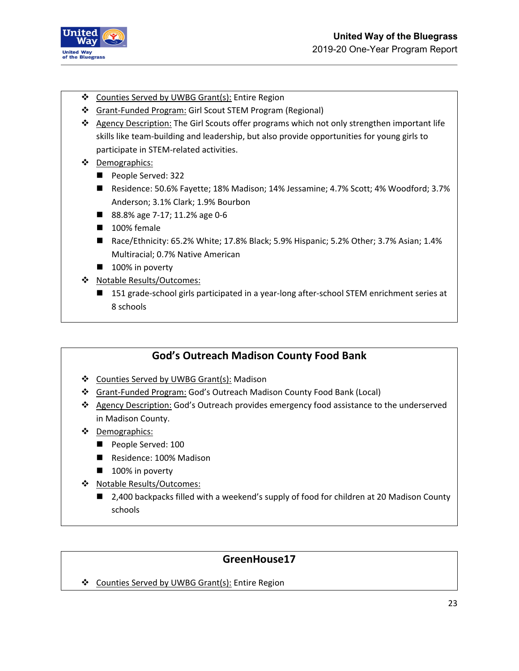

- ❖ Counties Served by UWBG Grant(s): Entire Region
- Grant-Funded Program: Girl Scout STEM Program (Regional)
- ❖ Agency Description: The Girl Scouts offer programs which not only strengthen important life skills like team-building and leadership, but also provide opportunities for young girls to participate in STEM-related activities.
- Demographics:
	- People Served: 322
	- Residence: 50.6% Fayette; 18% Madison; 14% Jessamine; 4.7% Scott; 4% Woodford; 3.7% Anderson; 3.1% Clark; 1.9% Bourbon
	- 88.8% age 7-17; 11.2% age 0-6
	- 100% female
	- Race/Ethnicity: 65.2% White; 17.8% Black; 5.9% Hispanic; 5.2% Other; 3.7% Asian; 1.4% Multiracial; 0.7% Native American
	- 100% in poverty
- ◆ Notable Results/Outcomes:
	- 151 grade-school girls participated in a year-long after-school STEM enrichment series at 8 schools

## **God's Outreach Madison County Food Bank**

- ❖ Counties Served by UWBG Grant(s): Madison
- Grant-Funded Program: God's Outreach Madison County Food Bank (Local)
- ❖ Agency Description: God's Outreach provides emergency food assistance to the underserved in Madison County.
- ❖ Demographics:
	- People Served: 100
	- Residence: 100% Madison
	- 100% in poverty
- Notable Results/Outcomes:
	- 2,400 backpacks filled with a weekend's supply of food for children at 20 Madison County schools

## **GreenHouse17**

❖ Counties Served by UWBG Grant(s): Entire Region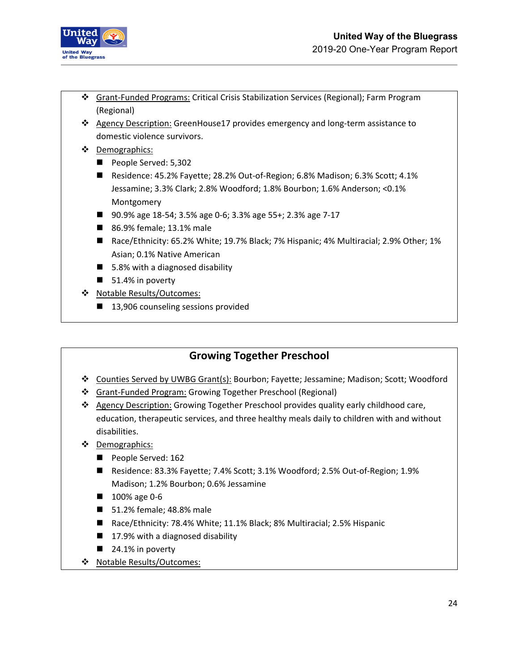

- Grant-Funded Programs: Critical Crisis Stabilization Services (Regional); Farm Program (Regional)
- ❖ Agency Description: GreenHouse17 provides emergency and long-term assistance to domestic violence survivors.
- Demographics:
	- People Served: 5,302
	- Residence: 45.2% Fayette; 28.2% Out-of-Region; 6.8% Madison; 6.3% Scott; 4.1% Jessamine; 3.3% Clark; 2.8% Woodford; 1.8% Bourbon; 1.6% Anderson; <0.1% Montgomery
	- 90.9% age 18-54; 3.5% age 0-6; 3.3% age 55+; 2.3% age 7-17
	- 86.9% female; 13.1% male
	- Race/Ethnicity: 65.2% White; 19.7% Black; 7% Hispanic; 4% Multiracial; 2.9% Other; 1% Asian; 0.1% Native American
	- $\blacksquare$  5.8% with a diagnosed disability
	- $\blacksquare$  51.4% in poverty
- \* Notable Results/Outcomes:
	- 13,906 counseling sessions provided

### **Growing Together Preschool**

- Counties Served by UWBG Grant(s): Bourbon; Fayette; Jessamine; Madison; Scott; Woodford
- Grant-Funded Program: Growing Together Preschool (Regional)
- ❖ Agency Description: Growing Together Preschool provides quality early childhood care, education, therapeutic services, and three healthy meals daily to children with and without disabilities.
- ❖ Demographics:
	- People Served: 162
	- Residence: 83.3% Fayette; 7.4% Scott; 3.1% Woodford; 2.5% Out-of-Region; 1.9% Madison; 1.2% Bourbon; 0.6% Jessamine
	- 100% age 0-6
	- 51.2% female; 48.8% male
	- Race/Ethnicity: 78.4% White; 11.1% Black; 8% Multiracial; 2.5% Hispanic
	- $\blacksquare$  17.9% with a diagnosed disability
	- $\blacksquare$  24.1% in poverty
- ◆ Notable Results/Outcomes: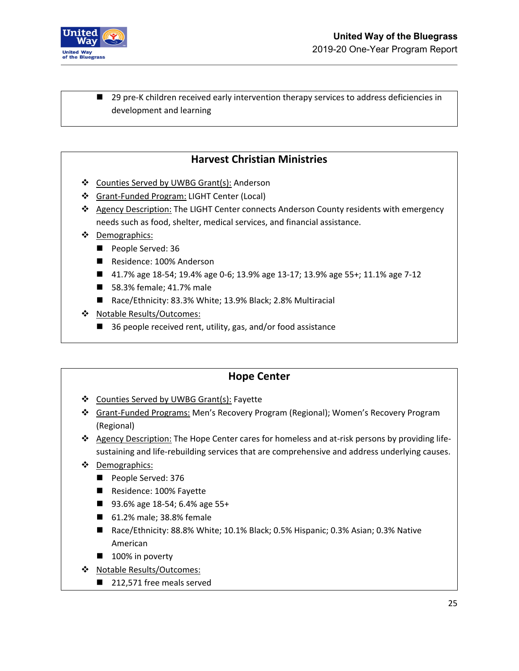

■ 29 pre-K children received early intervention therapy services to address deficiencies in development and learning

## **Harvest Christian Ministries**

- ❖ Counties Served by UWBG Grant(s): Anderson
- Grant-Funded Program: LIGHT Center (Local)
- ❖ Agency Description: The LIGHT Center connects Anderson County residents with emergency needs such as food, shelter, medical services, and financial assistance.
- Demographics:
	- People Served: 36
	- Residence: 100% Anderson
	- 41.7% age 18-54; 19.4% age 0-6; 13.9% age 13-17; 13.9% age 55+; 11.1% age 7-12
	- 58.3% female; 41.7% male
	- Race/Ethnicity: 83.3% White; 13.9% Black; 2.8% Multiracial
- ❖ Notable Results/Outcomes:
	- 36 people received rent, utility, gas, and/or food assistance

#### **Hope Center**

- Counties Served by UWBG Grant(s): Fayette
- Grant-Funded Programs: Men's Recovery Program (Regional); Women's Recovery Program (Regional)
- Agency Description: The Hope Center cares for homeless and at-risk persons by providing lifesustaining and life-rebuilding services that are comprehensive and address underlying causes.
- ❖ Demographics:
	- People Served: 376
	- Residence: 100% Fayette
	- 93.6% age 18-54; 6.4% age 55+
	- 61.2% male; 38.8% female
	- Race/Ethnicity: 88.8% White; 10.1% Black; 0.5% Hispanic; 0.3% Asian; 0.3% Native American
	- 100% in poverty
- Notable Results/Outcomes:
	- 212,571 free meals served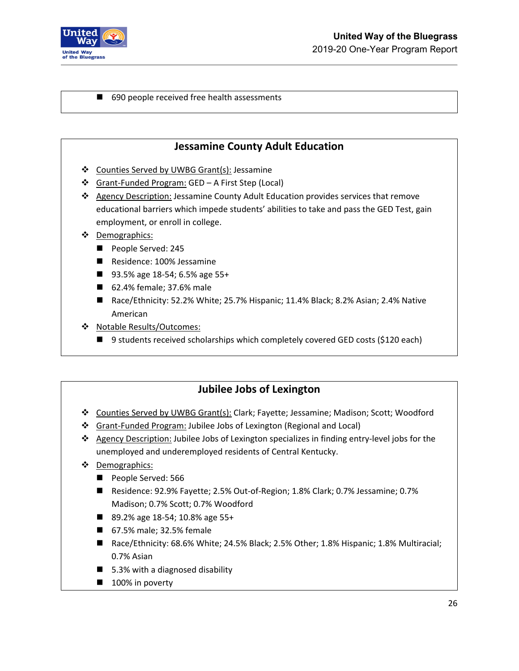

■ 690 people received free health assessments

#### **Jessamine County Adult Education**

- ❖ Counties Served by UWBG Grant(s): Jessamine
- Grant-Funded Program: GED A First Step (Local)
- Agency Description: Jessamine County Adult Education provides services that remove educational barriers which impede students' abilities to take and pass the GED Test, gain employment, or enroll in college.
- Demographics:
	- People Served: 245
	- Residence: 100% Jessamine
	- 93.5% age 18-54; 6.5% age 55+
	- 62.4% female; 37.6% male
	- Race/Ethnicity: 52.2% White; 25.7% Hispanic; 11.4% Black; 8.2% Asian; 2.4% Native American
- Notable Results/Outcomes:
	- 9 students received scholarships which completely covered GED costs (\$120 each)

## **Jubilee Jobs of Lexington**

- Counties Served by UWBG Grant(s): Clark; Fayette; Jessamine; Madison; Scott; Woodford
- Grant-Funded Program: Jubilee Jobs of Lexington (Regional and Local)
- Agency Description: Jubilee Jobs of Lexington specializes in finding entry-level jobs for the unemployed and underemployed residents of Central Kentucky.
- ❖ Demographics:
	- People Served: 566
	- Residence: 92.9% Fayette; 2.5% Out-of-Region; 1.8% Clark; 0.7% Jessamine; 0.7% Madison; 0.7% Scott; 0.7% Woodford
	- 89.2% age 18-54; 10.8% age 55+
	- 67.5% male; 32.5% female
	- Race/Ethnicity: 68.6% White; 24.5% Black; 2.5% Other; 1.8% Hispanic; 1.8% Multiracial; 0.7% Asian
	- $\blacksquare$  5.3% with a diagnosed disability
	- 100% in poverty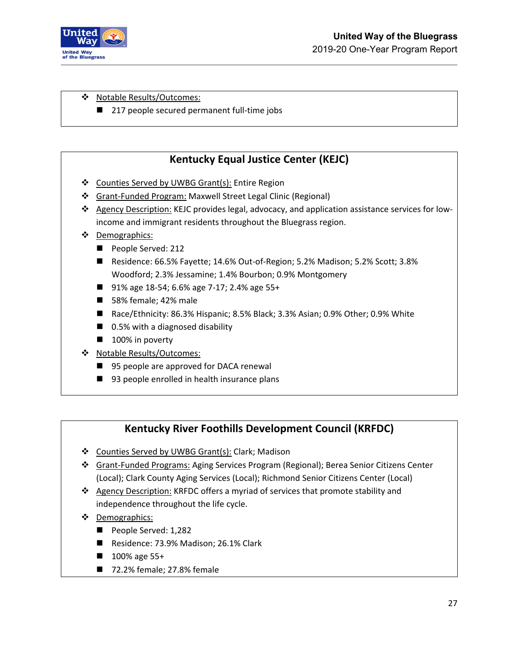

\* Notable Results/Outcomes:

■ 217 people secured permanent full-time jobs

## **Kentucky Equal Justice Center (KEJC)**

- Counties Served by UWBG Grant(s): Entire Region
- Grant-Funded Program: Maxwell Street Legal Clinic (Regional)
- \* Agency Description: KEJC provides legal, advocacy, and application assistance services for lowincome and immigrant residents throughout the Bluegrass region.
- Demographics:
	- People Served: 212
	- Residence: 66.5% Fayette; 14.6% Out-of-Region; 5.2% Madison; 5.2% Scott; 3.8% Woodford; 2.3% Jessamine; 1.4% Bourbon; 0.9% Montgomery
	- 91% age 18-54; 6.6% age 7-17; 2.4% age 55+
	- 58% female; 42% male
	- Race/Ethnicity: 86.3% Hispanic; 8.5% Black; 3.3% Asian; 0.9% Other; 0.9% White
	- 0.5% with a diagnosed disability
	- 100% in poverty
- Notable Results/Outcomes:
	- 95 people are approved for DACA renewal
	- 93 people enrolled in health insurance plans

### **Kentucky River Foothills Development Council (KRFDC)**

- ❖ Counties Served by UWBG Grant(s): Clark; Madison
- Grant-Funded Programs: Aging Services Program (Regional); Berea Senior Citizens Center (Local); Clark County Aging Services (Local); Richmond Senior Citizens Center (Local)
- Agency Description: KRFDC offers a myriad of services that promote stability and independence throughout the life cycle.
- Demographics:
	- People Served: 1,282
	- Residence: 73.9% Madison; 26.1% Clark
	- 100% age 55+
	- 72.2% female; 27.8% female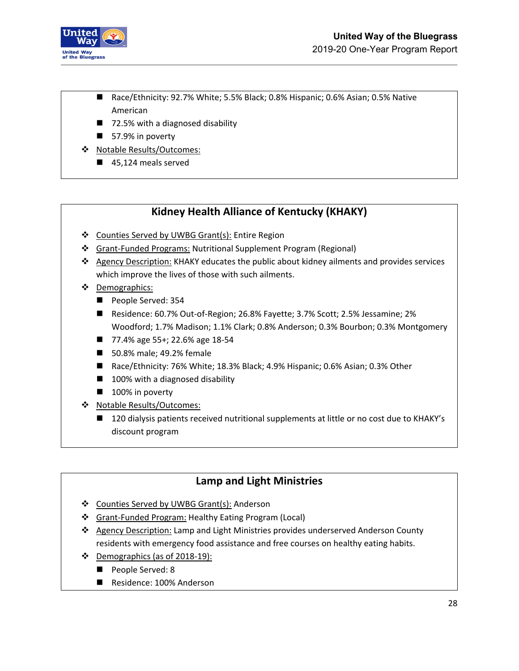

- Race/Ethnicity: 92.7% White; 5.5% Black; 0.8% Hispanic; 0.6% Asian; 0.5% Native American
- 72.5% with a diagnosed disability
- 57.9% in poverty
- Notable Results/Outcomes:
	- 45,124 meals served

## **Kidney Health Alliance of Kentucky (KHAKY)**

- ❖ Counties Served by UWBG Grant(s): Entire Region
- Grant-Funded Programs: Nutritional Supplement Program (Regional)
- Agency Description: KHAKY educates the public about kidney ailments and provides services which improve the lives of those with such ailments.
- ❖ Demographics:
	- People Served: 354
	- Residence: 60.7% Out-of-Region; 26.8% Fayette; 3.7% Scott; 2.5% Jessamine; 2% Woodford; 1.7% Madison; 1.1% Clark; 0.8% Anderson; 0.3% Bourbon; 0.3% Montgomery
	- 77.4% age 55+; 22.6% age 18-54
	- 50.8% male; 49.2% female
	- Race/Ethnicity: 76% White; 18.3% Black; 4.9% Hispanic; 0.6% Asian; 0.3% Other
	- $\blacksquare$  100% with a diagnosed disability
	- 100% in poverty
- ◆ Notable Results/Outcomes:
	- 120 dialysis patients received nutritional supplements at little or no cost due to KHAKY's discount program

## **Lamp and Light Ministries**

- Counties Served by UWBG Grant(s): Anderson
- Grant-Funded Program: Healthy Eating Program (Local)
- \* Agency Description: Lamp and Light Ministries provides underserved Anderson County residents with emergency food assistance and free courses on healthy eating habits.
- Demographics (as of 2018-19):
	- People Served: 8
	- Residence: 100% Anderson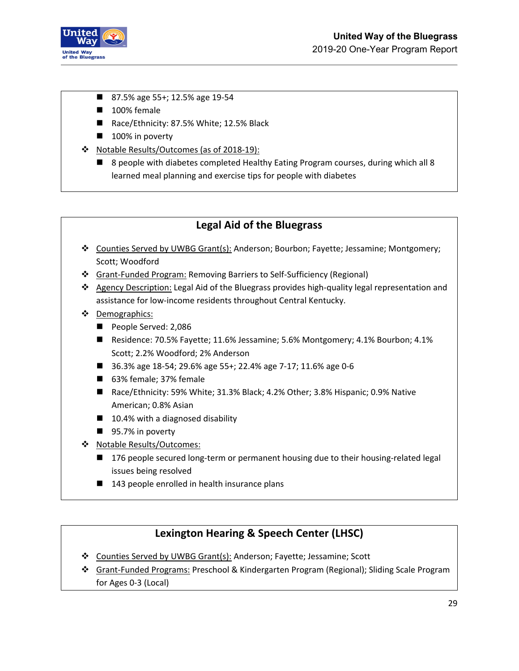

- 87.5% age 55+; 12.5% age 19-54
- 100% female
- Race/Ethnicity: 87.5% White; 12.5% Black
- 100% in poverty
- Notable Results/Outcomes (as of 2018-19):
	- 8 people with diabetes completed Healthy Eating Program courses, during which all 8 learned meal planning and exercise tips for people with diabetes

### **Legal Aid of the Bluegrass**

- Counties Served by UWBG Grant(s): Anderson; Bourbon; Fayette; Jessamine; Montgomery; Scott; Woodford
- Grant-Funded Program: Removing Barriers to Self-Sufficiency (Regional)
- Agency Description: Legal Aid of the Bluegrass provides high-quality legal representation and assistance for low-income residents throughout Central Kentucky.
- ❖ Demographics:
	- People Served: 2,086
	- Residence: 70.5% Fayette; 11.6% Jessamine; 5.6% Montgomery; 4.1% Bourbon; 4.1% Scott; 2.2% Woodford; 2% Anderson
	- 36.3% age 18-54; 29.6% age 55+; 22.4% age 7-17; 11.6% age 0-6
	- 63% female; 37% female
	- Race/Ethnicity: 59% White; 31.3% Black; 4.2% Other; 3.8% Hispanic; 0.9% Native American; 0.8% Asian
	- $\blacksquare$  10.4% with a diagnosed disability
	- 95.7% in poverty
- Notable Results/Outcomes:
	- 176 people secured long-term or permanent housing due to their housing-related legal issues being resolved
	- 143 people enrolled in health insurance plans

## **Lexington Hearing & Speech Center (LHSC)**

- Counties Served by UWBG Grant(s): Anderson; Fayette; Jessamine; Scott
- Grant-Funded Programs: Preschool & Kindergarten Program (Regional); Sliding Scale Program for Ages 0-3 (Local)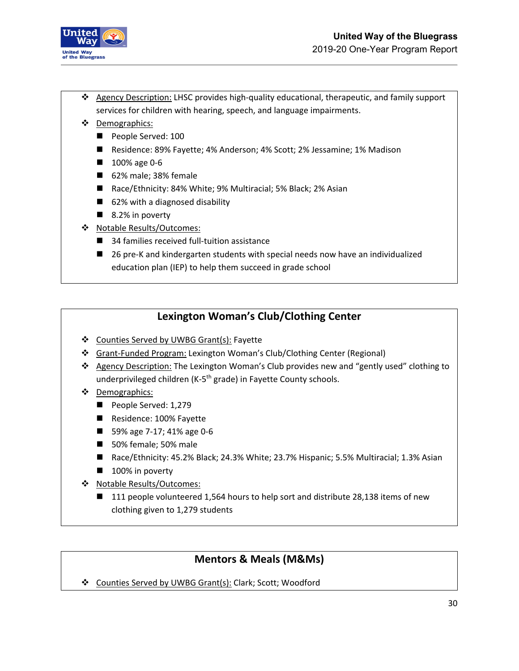

- \* Agency Description: LHSC provides high-quality educational, therapeutic, and family support services for children with hearing, speech, and language impairments.
- Demographics:
	- People Served: 100
	- Residence: 89% Fayette; 4% Anderson; 4% Scott; 2% Jessamine; 1% Madison
	- 100% age 0-6
	- 62% male; 38% female
	- Race/Ethnicity: 84% White; 9% Multiracial; 5% Black; 2% Asian
	- 62% with a diagnosed disability
	- $\blacksquare$  8.2% in poverty
- Notable Results/Outcomes:
	- 34 families received full-tuition assistance
	- 26 pre-K and kindergarten students with special needs now have an individualized education plan (IEP) to help them succeed in grade school

### **Lexington Woman's Club/Clothing Center**

- ❖ Counties Served by UWBG Grant(s): Fayette
- Grant-Funded Program: Lexington Woman's Club/Clothing Center (Regional)
- \* Agency Description: The Lexington Woman's Club provides new and "gently used" clothing to underprivileged children (K-5<sup>th</sup> grade) in Fayette County schools.
- Demographics:
	- People Served: 1,279
	- Residence: 100% Fayette
	- 59% age 7-17; 41% age 0-6
	- 50% female; 50% male
	- Race/Ethnicity: 45.2% Black; 24.3% White; 23.7% Hispanic; 5.5% Multiracial; 1.3% Asian
	- 100% in poverty
- Notable Results/Outcomes:
	- 111 people volunteered 1,564 hours to help sort and distribute 28,138 items of new clothing given to 1,279 students

## **Mentors & Meals (M&Ms)**

Counties Served by UWBG Grant(s): Clark; Scott; Woodford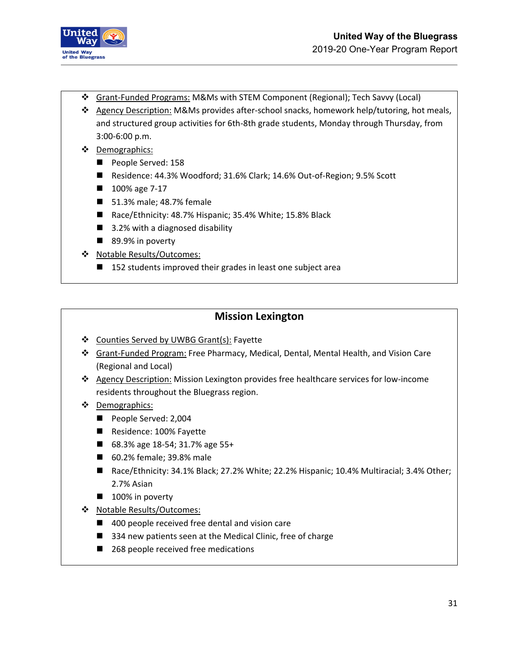

- Grant-Funded Programs: M&Ms with STEM Component (Regional); Tech Savvy (Local)
- Agency Description: M&Ms provides after-school snacks, homework help/tutoring, hot meals, and structured group activities for 6th-8th grade students, Monday through Thursday, from 3:00-6:00 p.m.
- Demographics:
	- People Served: 158
	- Residence: 44.3% Woodford; 31.6% Clark; 14.6% Out-of-Region; 9.5% Scott
	- 100% age 7-17
	- 51.3% male; 48.7% female
	- Race/Ethnicity: 48.7% Hispanic; 35.4% White; 15.8% Black
	- 3.2% with a diagnosed disability
	- 89.9% in poverty
- ❖ Notable Results/Outcomes:
	- 152 students improved their grades in least one subject area

#### **Mission Lexington**

- ❖ Counties Served by UWBG Grant(s): Fayette
- Grant-Funded Program: Free Pharmacy, Medical, Dental, Mental Health, and Vision Care (Regional and Local)
- Agency Description: Mission Lexington provides free healthcare services for low-income residents throughout the Bluegrass region.
- Demographics:
	- People Served: 2,004
	- Residence: 100% Fayette
	- 68.3% age 18-54; 31.7% age 55+
	- 60.2% female; 39.8% male
	- Race/Ethnicity: 34.1% Black; 27.2% White; 22.2% Hispanic; 10.4% Multiracial; 3.4% Other; 2.7% Asian
	- 100% in poverty
- Notable Results/Outcomes:
	- 400 people received free dental and vision care
	- 334 new patients seen at the Medical Clinic, free of charge
	- 268 people received free medications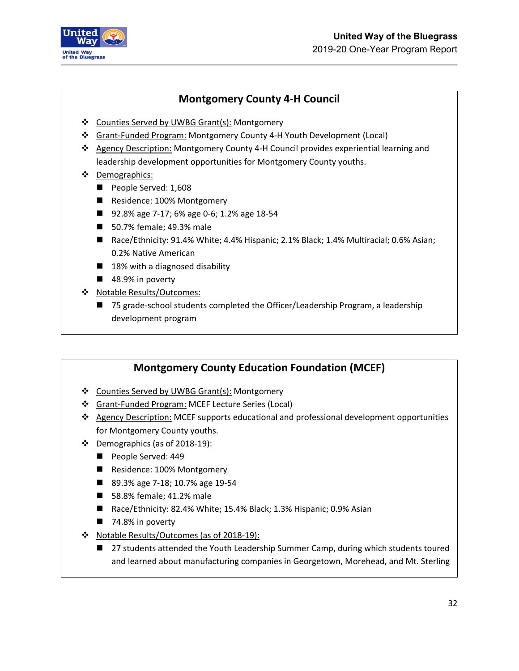

### **Montgomery County 4-H Council**

- Counties Served by UWBG Grant(s): Montgomery
- Grant-Funded Program: Montgomery County 4-H Youth Development (Local)
- Agency Description: Montgomery County 4-H Council provides experiential learning and leadership development opportunities for Montgomery County youths.
- Demographics:
	- People Served: 1,608
	- Residence: 100% Montgomery
	- 92.8% age 7-17; 6% age 0-6; 1.2% age 18-54
	- 50.7% female; 49.3% male
	- Race/Ethnicity: 91.4% White; 4.4% Hispanic; 2.1% Black; 1.4% Multiracial; 0.6% Asian; 0.2% Native American
	- $\blacksquare$  18% with a diagnosed disability
	- 48.9% in poverty
- ◆ Notable Results/Outcomes:
	- 75 grade-school students completed the Officer/Leadership Program, a leadership development program

### **Montgomery County Education Foundation (MCEF)**

- Counties Served by UWBG Grant(s): Montgomery
- Grant-Funded Program: MCEF Lecture Series (Local)
- $\triangle$  Agency Description: MCEF supports educational and professional development opportunities for Montgomery County youths.
- $\div$  Demographics (as of 2018-19):
	- People Served: 449
	- Residence: 100% Montgomery
	- 89.3% age 7-18; 10.7% age 19-54
	- 58.8% female; 41.2% male
	- Race/Ethnicity: 82.4% White; 15.4% Black; 1.3% Hispanic; 0.9% Asian
	- $\blacksquare$  74.8% in poverty
- \* Notable Results/Outcomes (as of 2018-19):
	- 27 students attended the Youth Leadership Summer Camp, during which students toured and learned about manufacturing companies in Georgetown, Morehead, and Mt. Sterling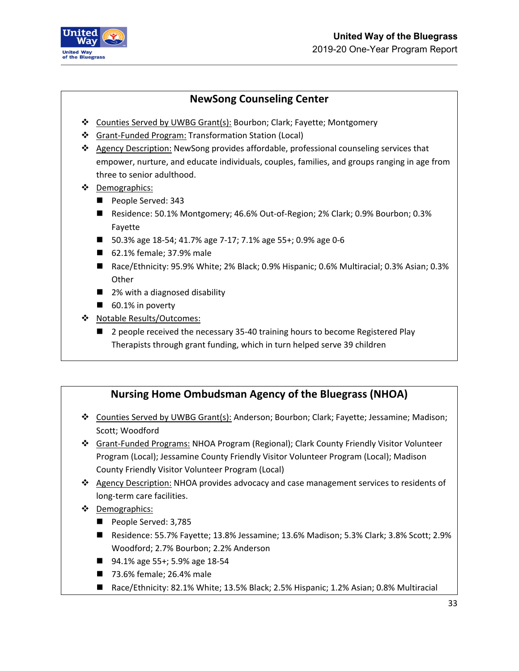

## **NewSong Counseling Center**

- Counties Served by UWBG Grant(s): Bourbon; Clark; Fayette; Montgomery
- Grant-Funded Program: Transformation Station (Local)
- Agency Description: NewSong provides affordable, professional counseling services that empower, nurture, and educate individuals, couples, families, and groups ranging in age from three to senior adulthood.
- Demographics:
	- People Served: 343
	- Residence: 50.1% Montgomery; 46.6% Out-of-Region; 2% Clark; 0.9% Bourbon; 0.3% Fayette
	- 50.3% age 18-54; 41.7% age 7-17; 7.1% age 55+; 0.9% age 0-6
	- 62.1% female; 37.9% male
	- Race/Ethnicity: 95.9% White; 2% Black; 0.9% Hispanic; 0.6% Multiracial; 0.3% Asian; 0.3% **Other**
	- 2% with a diagnosed disability
	- 60.1% in poverty
- Notable Results/Outcomes:
	- 2 people received the necessary 35-40 training hours to become Registered Play Therapists through grant funding, which in turn helped serve 39 children

### **Nursing Home Ombudsman Agency of the Bluegrass (NHOA)**

- Counties Served by UWBG Grant(s): Anderson; Bourbon; Clark; Fayette; Jessamine; Madison; Scott; Woodford
- Grant-Funded Programs: NHOA Program (Regional); Clark County Friendly Visitor Volunteer Program (Local); Jessamine County Friendly Visitor Volunteer Program (Local); Madison County Friendly Visitor Volunteer Program (Local)
- \* Agency Description: NHOA provides advocacy and case management services to residents of long-term care facilities.
- Demographics:
	- People Served: 3,785
	- Residence: 55.7% Fayette; 13.8% Jessamine; 13.6% Madison; 5.3% Clark; 3.8% Scott; 2.9% Woodford; 2.7% Bourbon; 2.2% Anderson
	- 94.1% age 55+; 5.9% age 18-54
	- 73.6% female; 26.4% male
	- Race/Ethnicity: 82.1% White; 13.5% Black; 2.5% Hispanic; 1.2% Asian; 0.8% Multiracial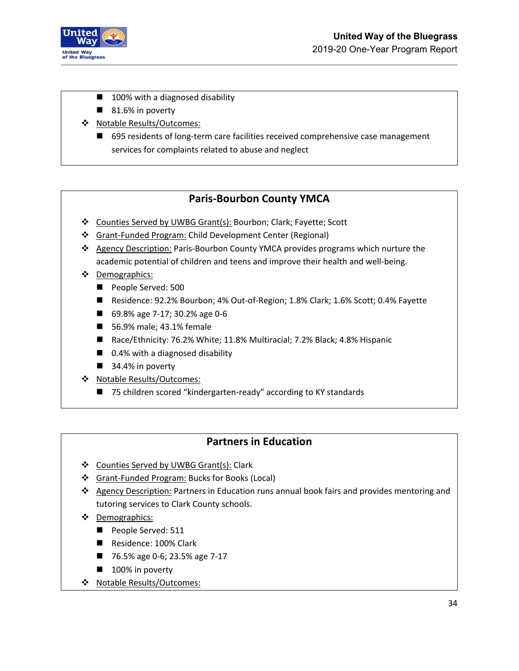

- 100% with a diagnosed disability
- $\blacksquare$  81.6% in poverty
- ◆ Notable Results/Outcomes:
	- 695 residents of long-term care facilities received comprehensive case management services for complaints related to abuse and neglect

### **Paris-Bourbon County YMCA**

- Counties Served by UWBG Grant(s): Bourbon; Clark; Fayette; Scott
- Grant-Funded Program: Child Development Center (Regional)
- ❖ Agency Description: Paris-Bourbon County YMCA provides programs which nurture the academic potential of children and teens and improve their health and well-being.
- Demographics:
	- People Served: 500
	- Residence: 92.2% Bourbon; 4% Out-of-Region; 1.8% Clark; 1.6% Scott; 0.4% Fayette
	- 69.8% age 7-17; 30.2% age 0-6
	- 56.9% male; 43.1% female
	- Race/Ethnicity: 76.2% White; 11.8% Multiracial; 7.2% Black; 4.8% Hispanic
	- 0.4% with a diagnosed disability
	- $\blacksquare$  34.4% in poverty
- Notable Results/Outcomes:
	- 75 children scored "kindergarten-ready" according to KY standards

#### **Partners in Education**

- Counties Served by UWBG Grant(s): Clark
- Grant-Funded Program: Bucks for Books (Local)
- ❖ Agency Description: Partners in Education runs annual book fairs and provides mentoring and tutoring services to Clark County schools.
- Demographics:
	- People Served: 511
	- Residence: 100% Clark
	- 76.5% age 0-6; 23.5% age 7-17
	- $\blacksquare$  100% in poverty
- Notable Results/Outcomes: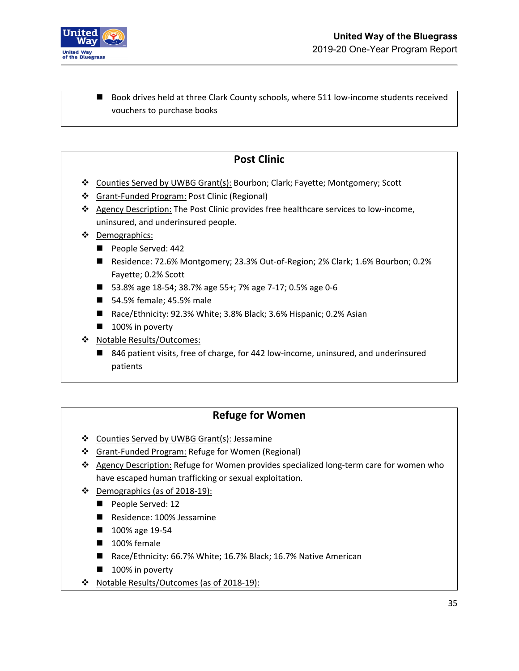

■ Book drives held at three Clark County schools, where 511 low-income students received vouchers to purchase books

## **Post Clinic**

- Counties Served by UWBG Grant(s): Bourbon; Clark; Fayette; Montgomery; Scott
- Grant-Funded Program: Post Clinic (Regional)
- Agency Description: The Post Clinic provides free healthcare services to low-income, uninsured, and underinsured people.
- Demographics:
	- People Served: 442
	- Residence: 72.6% Montgomery; 23.3% Out-of-Region; 2% Clark; 1.6% Bourbon; 0.2% Fayette; 0.2% Scott
	- 53.8% age 18-54; 38.7% age 55+; 7% age 7-17; 0.5% age 0-6
	- 54.5% female; 45.5% male
	- Race/Ethnicity: 92.3% White; 3.8% Black; 3.6% Hispanic; 0.2% Asian
	- 100% in poverty
- ❖ Notable Results/Outcomes:
	- 846 patient visits, free of charge, for 442 low-income, uninsured, and underinsured patients

### **Refuge for Women**

- ❖ Counties Served by UWBG Grant(s): Jessamine
- Grant-Funded Program: Refuge for Women (Regional)
- Agency Description: Refuge for Women provides specialized long-term care for women who have escaped human trafficking or sexual exploitation.
- $\cdot \cdot$  Demographics (as of 2018-19):
	- People Served: 12
	- Residence: 100% Jessamine
	- 100% age 19-54
	- 100% female
	- Race/Ethnicity: 66.7% White; 16.7% Black; 16.7% Native American
	- $\blacksquare$  100% in poverty
- \* Notable Results/Outcomes (as of 2018-19):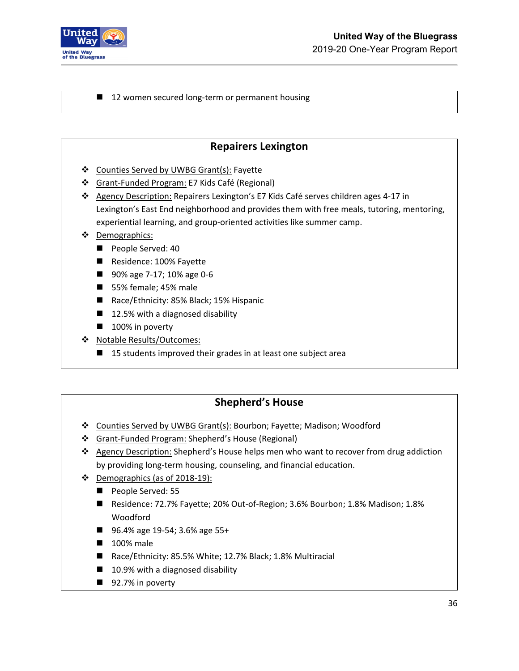

#### ■ 12 women secured long-term or permanent housing

#### **Repairers Lexington**

- Counties Served by UWBG Grant(s): Fayette
- Grant-Funded Program: E7 Kids Café (Regional)
- Agency Description: Repairers Lexington's E7 Kids Café serves children ages 4-17 in Lexington's East End neighborhood and provides them with free meals, tutoring, mentoring, experiential learning, and group-oriented activities like summer camp.
- Demographics:
	- People Served: 40
	- Residence: 100% Fayette
	- 90% age 7-17; 10% age 0-6
	- 55% female; 45% male
	- Race/Ethnicity: 85% Black; 15% Hispanic
	- 12.5% with a diagnosed disability
	- $\blacksquare$  100% in poverty
- ◆ Notable Results/Outcomes:
	- 15 students improved their grades in at least one subject area

## **Shepherd's House**

- Counties Served by UWBG Grant(s): Bourbon; Fayette; Madison; Woodford
- Grant-Funded Program: Shepherd's House (Regional)
- ❖ Agency Description: Shepherd's House helps men who want to recover from drug addiction by providing long-term housing, counseling, and financial education.
- $\div$  Demographics (as of 2018-19):
	- People Served: 55
	- Residence: 72.7% Fayette; 20% Out-of-Region; 3.6% Bourbon; 1.8% Madison; 1.8% Woodford
	- 96.4% age 19-54; 3.6% age 55+
	- 100% male
	- Race/Ethnicity: 85.5% White; 12.7% Black; 1.8% Multiracial
	- 10.9% with a diagnosed disability
	- 92.7% in poverty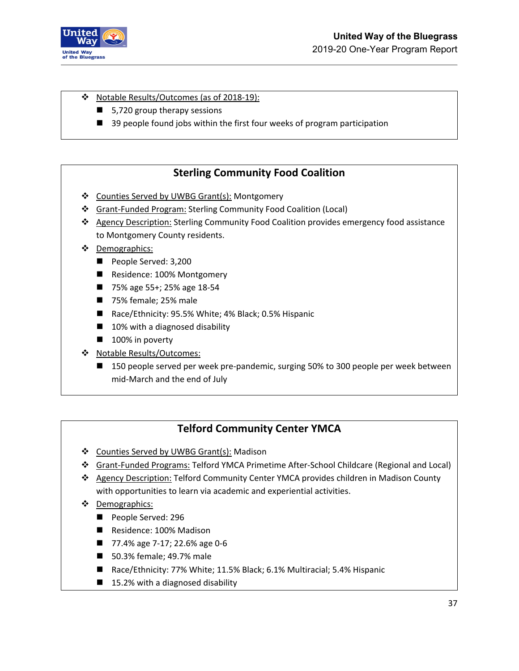

#### \* Notable Results/Outcomes (as of 2018-19):

- 5,720 group therapy sessions
- 39 people found jobs within the first four weeks of program participation

### **Sterling Community Food Coalition**

- Counties Served by UWBG Grant(s): Montgomery
- Grant-Funded Program: Sterling Community Food Coalition (Local)
- Agency Description: Sterling Community Food Coalition provides emergency food assistance to Montgomery County residents.
- ❖ Demographics:
	- People Served: 3,200
	- Residence: 100% Montgomery
	- 75% age 55+; 25% age 18-54
	- 75% female; 25% male
	- Race/Ethnicity: 95.5% White; 4% Black; 0.5% Hispanic
	- 10% with a diagnosed disability
	- 100% in poverty
- Notable Results/Outcomes:
	- 150 people served per week pre-pandemic, surging 50% to 300 people per week between mid-March and the end of July

#### **Telford Community Center YMCA**

- ❖ Counties Served by UWBG Grant(s): Madison
- Grant-Funded Programs: Telford YMCA Primetime After-School Childcare (Regional and Local)
- Agency Description: Telford Community Center YMCA provides children in Madison County with opportunities to learn via academic and experiential activities.
- Demographics:
	- People Served: 296
	- Residence: 100% Madison
	- 77.4% age 7-17; 22.6% age 0-6
	- 50.3% female; 49.7% male
	- Race/Ethnicity: 77% White; 11.5% Black; 6.1% Multiracial; 5.4% Hispanic
	- 15.2% with a diagnosed disability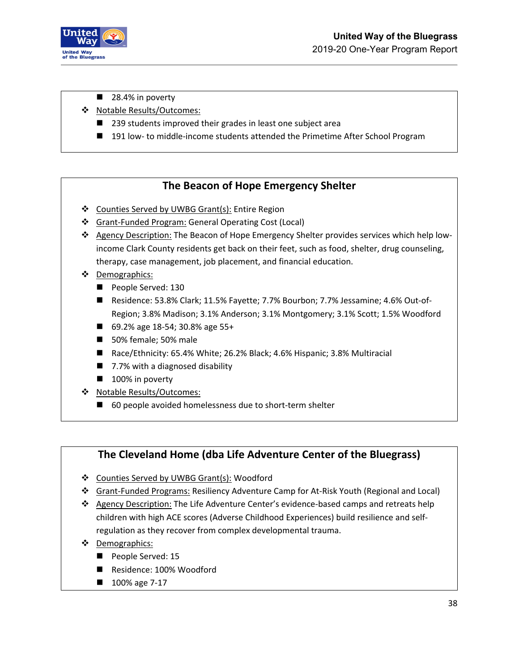

- 28.4% in poverty
- Notable Results/Outcomes:
	- 239 students improved their grades in least one subject area
	- 191 low- to middle-income students attended the Primetime After School Program

### **The Beacon of Hope Emergency Shelter**

- ❖ Counties Served by UWBG Grant(s): Entire Region
- Grant-Funded Program: General Operating Cost (Local)
- \* Agency Description: The Beacon of Hope Emergency Shelter provides services which help lowincome Clark County residents get back on their feet, such as food, shelter, drug counseling, therapy, case management, job placement, and financial education.
- Demographics:
	- People Served: 130
	- Residence: 53.8% Clark; 11.5% Fayette; 7.7% Bourbon; 7.7% Jessamine; 4.6% Out-of-Region; 3.8% Madison; 3.1% Anderson; 3.1% Montgomery; 3.1% Scott; 1.5% Woodford
	- 69.2% age 18-54; 30.8% age 55+
	- 50% female; 50% male
	- Race/Ethnicity: 65.4% White; 26.2% Black; 4.6% Hispanic; 3.8% Multiracial
	- 7.7% with a diagnosed disability
	- 100% in poverty
- Notable Results/Outcomes:
	- 60 people avoided homelessness due to short-term shelter

### **The Cleveland Home (dba Life Adventure Center of the Bluegrass)**

- ❖ Counties Served by UWBG Grant(s): Woodford
- Grant-Funded Programs: Resiliency Adventure Camp for At-Risk Youth (Regional and Local)
- Agency Description: The Life Adventure Center's evidence-based camps and retreats help children with high ACE scores (Adverse Childhood Experiences) build resilience and selfregulation as they recover from complex developmental trauma.
- Demographics:
	- People Served: 15
	- Residence: 100% Woodford
	- 100% age 7-17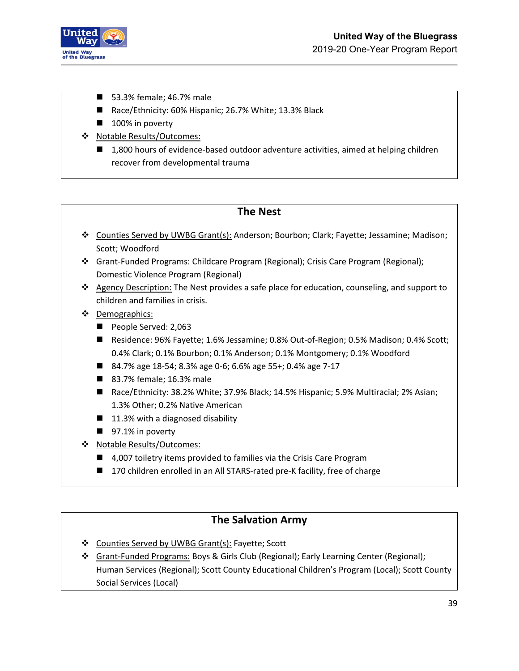

- 53.3% female; 46.7% male
- Race/Ethnicity: 60% Hispanic; 26.7% White; 13.3% Black
- 100% in poverty
- Notable Results/Outcomes:
	- 1,800 hours of evidence-based outdoor adventure activities, aimed at helping children recover from developmental trauma

#### **The Nest**

- Counties Served by UWBG Grant(s): Anderson; Bourbon; Clark; Fayette; Jessamine; Madison; Scott; Woodford
- Grant-Funded Programs: Childcare Program (Regional); Crisis Care Program (Regional); Domestic Violence Program (Regional)
- $\triangle$  Agency Description: The Nest provides a safe place for education, counseling, and support to children and families in crisis.
- ❖ Demographics:
	- People Served: 2,063
	- Residence: 96% Fayette; 1.6% Jessamine; 0.8% Out-of-Region; 0.5% Madison; 0.4% Scott; 0.4% Clark; 0.1% Bourbon; 0.1% Anderson; 0.1% Montgomery; 0.1% Woodford
	- 84.7% age 18-54; 8.3% age 0-6; 6.6% age 55+; 0.4% age 7-17
	- 83.7% female; 16.3% male
	- Race/Ethnicity: 38.2% White; 37.9% Black; 14.5% Hispanic; 5.9% Multiracial; 2% Asian; 1.3% Other; 0.2% Native American
	- $\blacksquare$  11.3% with a diagnosed disability
	- $\blacksquare$  97.1% in poverty
- Notable Results/Outcomes:
	- 4,007 toiletry items provided to families via the Crisis Care Program
	- 170 children enrolled in an All STARS-rated pre-K facility, free of charge

#### **The Salvation Army**

- ❖ Counties Served by UWBG Grant(s): Fayette; Scott
- Grant-Funded Programs: Boys & Girls Club (Regional); Early Learning Center (Regional); Human Services (Regional); Scott County Educational Children's Program (Local); Scott County Social Services (Local)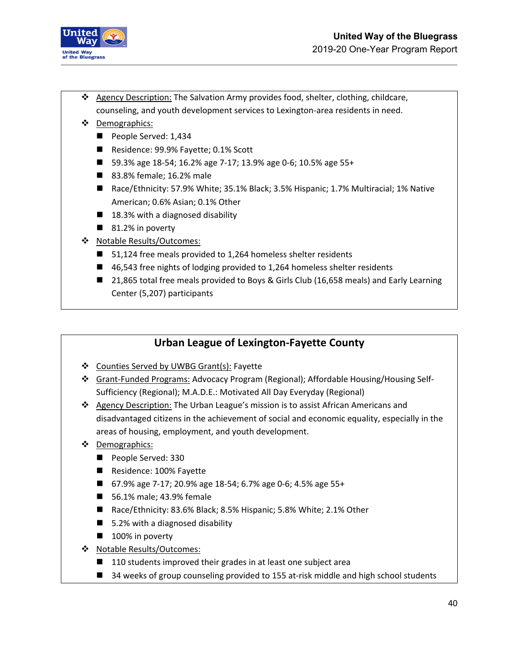

- \* Agency Description: The Salvation Army provides food, shelter, clothing, childcare, counseling, and youth development services to Lexington-area residents in need.
- Demographics:
	- People Served: 1,434
	- Residence: 99.9% Fayette; 0.1% Scott
	- 59.3% age 18-54; 16.2% age 7-17; 13.9% age 0-6; 10.5% age 55+
	- 83.8% female; 16.2% male
	- Race/Ethnicity: 57.9% White; 35.1% Black; 3.5% Hispanic; 1.7% Multiracial; 1% Native American; 0.6% Asian; 0.1% Other
	- $\blacksquare$  18.3% with a diagnosed disability
	- 81.2% in poverty
- Notable Results/Outcomes:
	- 51,124 free meals provided to 1,264 homeless shelter residents
	- 46,543 free nights of lodging provided to 1,264 homeless shelter residents
	- 21,865 total free meals provided to Boys & Girls Club (16,658 meals) and Early Learning Center (5,207) participants

## **Urban League of Lexington-Fayette County**

- ❖ Counties Served by UWBG Grant(s): Fayette
- Grant-Funded Programs: Advocacy Program (Regional); Affordable Housing/Housing Self-Sufficiency (Regional); M.A.D.E.: Motivated All Day Everyday (Regional)
- ❖ Agency Description: The Urban League's mission is to assist African Americans and disadvantaged citizens in the achievement of social and economic equality, especially in the areas of housing, employment, and youth development.
- ❖ Demographics:
	- People Served: 330
	- Residence: 100% Fayette
	- 67.9% age 7-17; 20.9% age 18-54; 6.7% age 0-6; 4.5% age 55+
	- 56.1% male; 43.9% female
	- Race/Ethnicity: 83.6% Black; 8.5% Hispanic; 5.8% White; 2.1% Other
	- 5.2% with a diagnosed disability
	- 100% in poverty
- Notable Results/Outcomes:
	- 110 students improved their grades in at least one subject area
	- 34 weeks of group counseling provided to 155 at-risk middle and high school students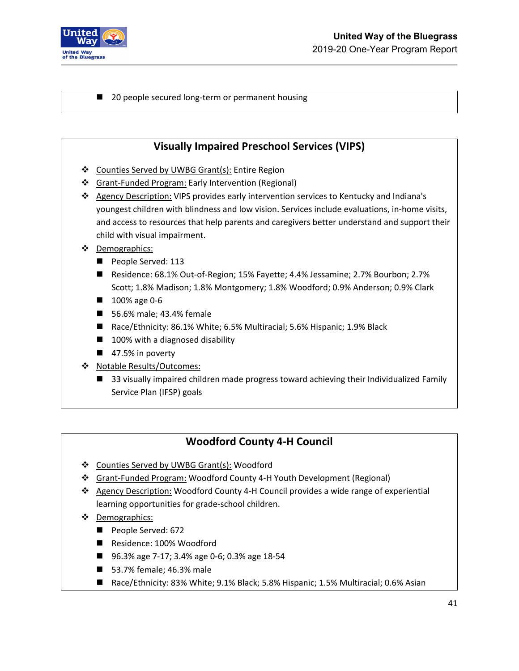

■ 20 people secured long-term or permanent housing

### **Visually Impaired Preschool Services (VIPS)**

- Counties Served by UWBG Grant(s): Entire Region
- Grant-Funded Program: Early Intervention (Regional)
- Agency Description: VIPS provides early intervention services to Kentucky and Indiana's youngest children with blindness and low vision. Services include evaluations, in-home visits, and access to resources that help parents and caregivers better understand and support their child with visual impairment.
- ❖ Demographics:
	- People Served: 113
	- Residence: 68.1% Out-of-Region; 15% Fayette; 4.4% Jessamine; 2.7% Bourbon; 2.7% Scott; 1.8% Madison; 1.8% Montgomery; 1.8% Woodford; 0.9% Anderson; 0.9% Clark
	- **100%** age 0-6
	- 56.6% male; 43.4% female
	- Race/Ethnicity: 86.1% White; 6.5% Multiracial; 5.6% Hispanic; 1.9% Black
	- 100% with a diagnosed disability
	- $\blacksquare$  47.5% in poverty
- ❖ Notable Results/Outcomes:
	- 33 visually impaired children made progress toward achieving their Individualized Family Service Plan (IFSP) goals

### **Woodford County 4-H Council**

- Counties Served by UWBG Grant(s): Woodford
- Grant-Funded Program: Woodford County 4-H Youth Development (Regional)
- $\triangle$  Agency Description: Woodford County 4-H Council provides a wide range of experiential learning opportunities for grade-school children.
- Demographics:
	- People Served: 672
	- Residence: 100% Woodford
	- 96.3% age 7-17; 3.4% age 0-6; 0.3% age 18-54
	- 53.7% female; 46.3% male
	- Race/Ethnicity: 83% White; 9.1% Black; 5.8% Hispanic; 1.5% Multiracial; 0.6% Asian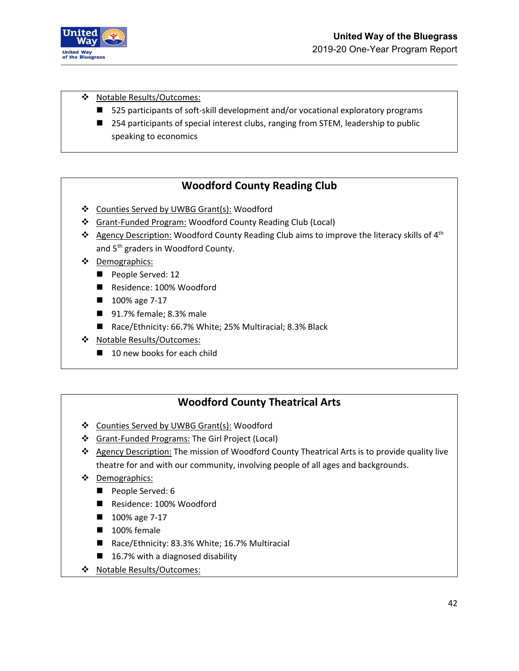

\* Notable Results/Outcomes:

- 525 participants of soft-skill development and/or vocational exploratory programs
- 254 participants of special interest clubs, ranging from STEM, leadership to public speaking to economics

## **Woodford County Reading Club**

- ❖ Counties Served by UWBG Grant(s): Woodford
- Grant-Funded Program: Woodford County Reading Club (Local)
- **Agency Description:** Woodford County Reading Club aims to improve the literacy skills of  $4<sup>th</sup>$ and 5<sup>th</sup> graders in Woodford County.
- Demographics:
	- People Served: 12
	- Residence: 100% Woodford
	- 100% age 7-17
	- 91.7% female; 8.3% male
	- Race/Ethnicity: 66.7% White; 25% Multiracial; 8.3% Black
- ◆ Notable Results/Outcomes:
	- 10 new books for each child

## **Woodford County Theatrical Arts**

- ❖ Counties Served by UWBG Grant(s): Woodford
- Grant-Funded Programs: The Girl Project (Local)
- \* Agency Description: The mission of Woodford County Theatrical Arts is to provide quality live theatre for and with our community, involving people of all ages and backgrounds.
- Demographics:
	- People Served: 6
	- Residence: 100% Woodford
	- 100% age 7-17
	- 100% female
	- Race/Ethnicity: 83.3% White; 16.7% Multiracial
	- $\blacksquare$  16.7% with a diagnosed disability
- Notable Results/Outcomes: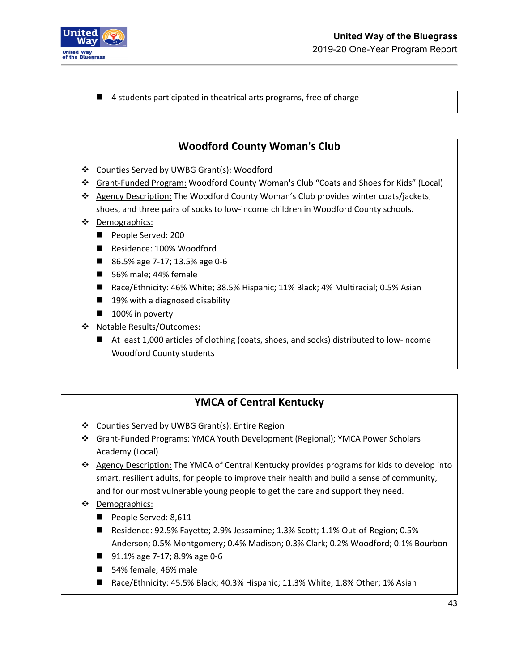

■ 4 students participated in theatrical arts programs, free of charge

### **Woodford County Woman's Club**

- ❖ Counties Served by UWBG Grant(s): Woodford
- Grant-Funded Program: Woodford County Woman's Club "Coats and Shoes for Kids" (Local)
- Agency Description: The Woodford County Woman's Club provides winter coats/jackets, shoes, and three pairs of socks to low-income children in Woodford County schools.
- Demographics:
	- People Served: 200
	- Residence: 100% Woodford
	- 86.5% age 7-17; 13.5% age 0-6
	- 56% male; 44% female
	- Race/Ethnicity: 46% White; 38.5% Hispanic; 11% Black; 4% Multiracial; 0.5% Asian
	- 19% with a diagnosed disability
	- $\blacksquare$  100% in poverty
- Notable Results/Outcomes:
	- At least 1,000 articles of clothing (coats, shoes, and socks) distributed to low-income Woodford County students

### **YMCA of Central Kentucky**

- ❖ Counties Served by UWBG Grant(s): Entire Region
- Grant-Funded Programs: YMCA Youth Development (Regional); YMCA Power Scholars Academy (Local)
- Agency Description: The YMCA of Central Kentucky provides programs for kids to develop into smart, resilient adults, for people to improve their health and build a sense of community, and for our most vulnerable young people to get the care and support they need.
- Demographics:
	- People Served: 8,611
	- Residence: 92.5% Fayette; 2.9% Jessamine; 1.3% Scott; 1.1% Out-of-Region; 0.5% Anderson; 0.5% Montgomery; 0.4% Madison; 0.3% Clark; 0.2% Woodford; 0.1% Bourbon
	- 91.1% age 7-17; 8.9% age 0-6
	- 54% female; 46% male
	- Race/Ethnicity: 45.5% Black; 40.3% Hispanic; 11.3% White; 1.8% Other; 1% Asian